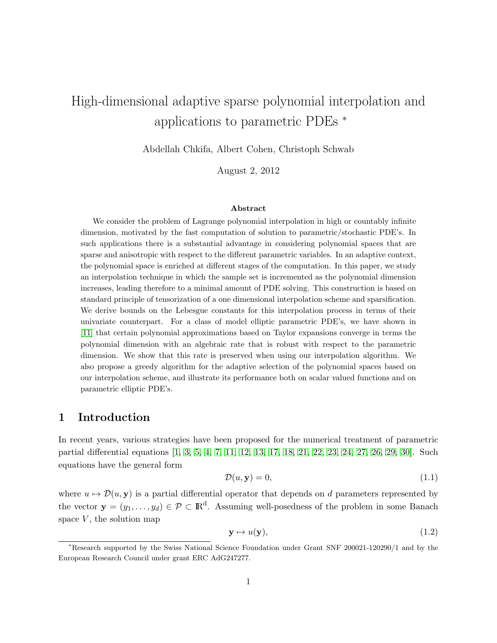# High-dimensional adaptive sparse polynomial interpolation and applications to parametric PDEs <sup>∗</sup>

Abdellah Chkifa, Albert Cohen, Christoph Schwab

August 2, 2012

#### Abstract

We consider the problem of Lagrange polynomial interpolation in high or countably infinite dimension, motivated by the fast computation of solution to parametric/stochastic PDE's. In such applications there is a substantial advantage in considering polynomial spaces that are sparse and anisotropic with respect to the different parametric variables. In an adaptive context, the polynomial space is enriched at different stages of the computation. In this paper, we study an interpolation technique in which the sample set is incremented as the polynomial dimension increases, leading therefore to a minimal amount of PDE solving. This construction is based on standard principle of tensorization of a one dimensional interpolation scheme and sparsification. We derive bounds on the Lebesgue constants for this interpolation process in terms of their univariate counterpart. For a class of model elliptic parametric PDE's, we have shown in [\[11\]](#page-29-0) that certain polynomial approximations based on Taylor expansions converge in terms the polynomial dimension with an algebraic rate that is robust with respect to the parametric dimension. We show that this rate is preserved when using our interpolation algorithm. We also propose a greedy algorithm for the adaptive selection of the polynomial spaces based on our interpolation scheme, and illustrate its performance both on scalar valued functions and on parametric elliptic PDE's.

# 1 Introduction

In recent years, various strategies have been proposed for the numerical treatment of parametric partial differential equations [\[1,](#page-28-0) [3,](#page-28-1) [5,](#page-29-1) [4,](#page-29-2) [7,](#page-29-3) [11,](#page-29-0) [12,](#page-29-4) [13,](#page-29-5) [17,](#page-29-6) [18,](#page-29-7) [21,](#page-30-0) [22,](#page-30-1) [23,](#page-30-2) [24,](#page-30-3) [27,](#page-30-4) [26,](#page-30-5) [29,](#page-30-6) [30\]](#page-30-7). Such equations have the general form

<span id="page-0-0"></span>
$$
\mathcal{D}(u, \mathbf{y}) = 0,\tag{1.1}
$$

where  $u \mapsto \mathcal{D}(u, y)$  is a partial differential operator that depends on d parameters represented by the vector  $\mathbf{y} = (y_1, \dots, y_d) \in \mathcal{P} \subset \mathbb{R}^d$ . Assuming well-posedness of the problem in some Banach space  $V$ , the solution map

$$
y \mapsto u(y), \tag{1.2}
$$

<sup>∗</sup>Research supported by the Swiss National Science Foundation under Grant SNF 200021-120290/1 and by the European Research Council under grant ERC AdG247277.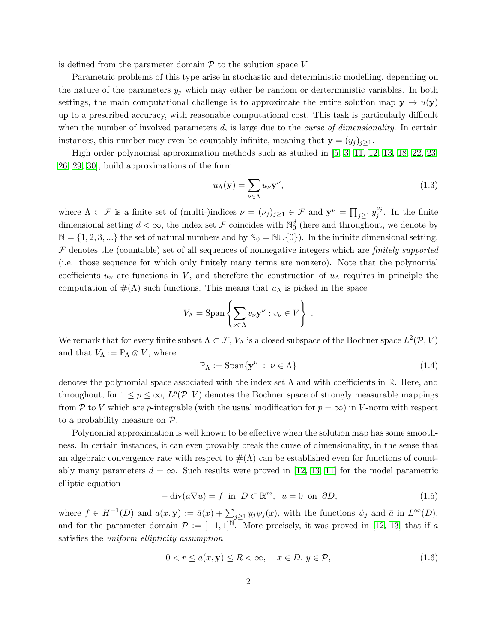is defined from the parameter domain  $P$  to the solution space  $V$ 

Parametric problems of this type arise in stochastic and deterministic modelling, depending on the nature of the parameters  $y_i$  which may either be random or derterministic variables. In both settings, the main computational challenge is to approximate the entire solution map  $y \mapsto u(y)$ up to a prescribed accuracy, with reasonable computational cost. This task is particularly difficult when the number of involved parameters  $d$ , is large due to the *curse of dimensionality*. In certain instances, this number may even be countably infinite, meaning that  $\mathbf{y} = (y_j)_{j \geq 1}$ .

High order polynomial approximation methods such as studied in [\[5,](#page-29-1) [3,](#page-28-1) [11,](#page-29-0) [12,](#page-29-4) [13,](#page-29-5) [18,](#page-29-7) [22,](#page-30-1) [23,](#page-30-2) [26,](#page-30-5) [29,](#page-30-6) [30\]](#page-30-7), build approximations of the form

$$
u_{\Lambda}(\mathbf{y}) = \sum_{\nu \in \Lambda} u_{\nu} \mathbf{y}^{\nu}, \tag{1.3}
$$

where  $\Lambda \subset \mathcal{F}$  is a finite set of (multi-)indices  $\nu = (\nu_j)_{j \geq 1} \in \mathcal{F}$  and  $\mathbf{y}^{\nu} = \prod_{j \geq 1} y_j^{\nu_j}$  $j^{\nu_j}$ . In the finite dimensional setting  $d < \infty$ , the index set F coincides with  $\mathbb{N}_0^d$  (here and throughout, we denote by  $\mathbb{N} = \{1, 2, 3, ...\}$  the set of natural numbers and by  $\mathbb{N}_0 = \mathbb{N} \cup \{0\}$ . In the infinite dimensional setting,  $F$  denotes the (countable) set of all sequences of nonnegative integers which are *finitely supported* (i.e. those sequence for which only finitely many terms are nonzero). Note that the polynomial coefficients  $u_{\nu}$  are functions in V, and therefore the construction of  $u_{\Lambda}$  requires in principle the computation of  $\#(\Lambda)$  such functions. This means that  $u_{\Lambda}$  is picked in the space

$$
V_{\Lambda} = \operatorname{Span} \left\{ \sum_{\nu \in \Lambda} v_{\nu} \mathbf{y}^{\nu} : v_{\nu} \in V \right\} .
$$

We remark that for every finite subset  $\Lambda \subset \mathcal{F}$ ,  $V_{\Lambda}$  is a closed subspace of the Bochner space  $L^2(\mathcal{P}, V)$ and that  $V_{\Lambda} := \mathbb{P}_{\Lambda} \otimes V$ , where

$$
\mathbb{P}_{\Lambda} := \text{Span}\{\mathbf{y}^{\nu} \ : \ \nu \in \Lambda\} \tag{1.4}
$$

denotes the polynomial space associated with the index set  $\Lambda$  and with coefficients in R. Here, and throughout, for  $1 \leq p \leq \infty$ ,  $L^p(\mathcal{P}, V)$  denotes the Bochner space of strongly measurable mappings from P to V which are p-integrable (with the usual modification for  $p = \infty$ ) in V-norm with respect to a probability measure on P.

Polynomial approximation is well known to be effective when the solution map has some smoothness. In certain instances, it can even provably break the curse of dimensionality, in the sense that an algebraic convergence rate with respect to  $\#(\Lambda)$  can be established even for functions of countably many parameters  $d = \infty$ . Such results were proved in [\[12,](#page-29-4) [13,](#page-29-5) [11\]](#page-29-0) for the model parametric elliptic equation

<span id="page-1-0"></span>
$$
-\operatorname{div}(a\nabla u) = f \text{ in } D \subset \mathbb{R}^m, \ u = 0 \text{ on } \partial D,
$$
\n(1.5)

where  $f \in H^{-1}(D)$  and  $a(x, y) := \bar{a}(x) + \sum_{j \geq 1} y_j \psi_j(x)$ , with the functions  $\psi_j$  and  $\bar{a}$  in  $L^{\infty}(D)$ , and for the parameter domain  $\mathcal{P} := [-1,1]^N$ . More precisely, it was proved in [\[12,](#page-29-4) [13\]](#page-29-5) that if a satisfies the uniform ellipticity assumption

<span id="page-1-1"></span>
$$
0 < r \le a(x, y) \le R < \infty, \quad x \in D, y \in \mathcal{P}, \tag{1.6}
$$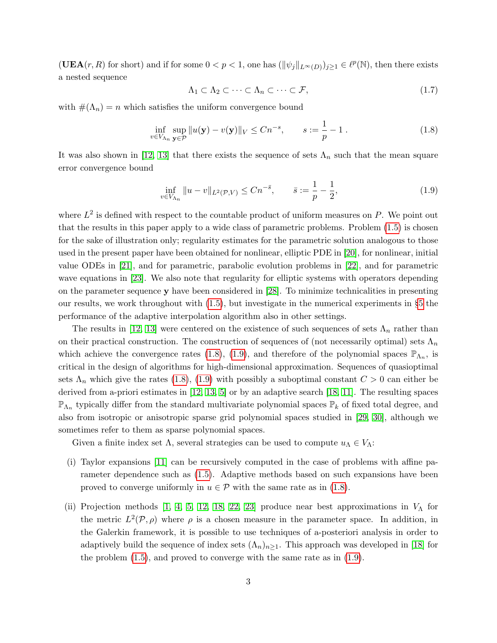$(UEA(r, R) \text{ for short})$  and if for some  $0 < p < 1$ , one has  $(\|\psi_j\|_{L^{\infty}(D)})_{j\geq 1} \in \ell^p(\mathbb{N})$ , then there exists a nested sequence

$$
\Lambda_1 \subset \Lambda_2 \subset \cdots \subset \Lambda_n \subset \cdots \subset \mathcal{F},\tag{1.7}
$$

with  $\#(\Lambda_n) = n$  which satisfies the uniform convergence bound

<span id="page-2-0"></span>
$$
\inf_{v \in V_{\Lambda_n}} \sup_{\mathbf{y} \in \mathcal{P}} \|u(\mathbf{y}) - v(\mathbf{y})\|_V \le Cn^{-s}, \qquad s := \frac{1}{p} - 1.
$$
\n(1.8)

It was also shown in [\[12,](#page-29-4) [13\]](#page-29-5) that there exists the sequence of sets  $\Lambda_n$  such that the mean square error convergence bound

<span id="page-2-1"></span>
$$
\inf_{v \in V_{\Lambda_n}} \|u - v\|_{L^2(\mathcal{P}, V)} \le Cn^{-\bar{s}}, \qquad \bar{s} := \frac{1}{p} - \frac{1}{2}, \tag{1.9}
$$

where  $L^2$  is defined with respect to the countable product of uniform measures on P. We point out that the results in this paper apply to a wide class of parametric problems. Problem [\(1.5\)](#page-1-0) is chosen for the sake of illustration only; regularity estimates for the parametric solution analogous to those used in the present paper have been obtained for nonlinear, elliptic PDE in [\[20\]](#page-30-8), for nonlinear, initial value ODEs in [\[21\]](#page-30-0), and for parametric, parabolic evolution problems in [\[22\]](#page-30-1), and for parametric wave equations in [\[23\]](#page-30-2). We also note that regularity for elliptic systems with operators depending on the parameter sequence y have been considered in [\[28\]](#page-30-9). To minimize technicalities in presenting our results, we work throughout with [\(1.5\)](#page-1-0), but investigate in the numerical experiments in §[5](#page-19-0) the performance of the adaptive interpolation algorithm also in other settings.

The results in [\[12,](#page-29-4) [13\]](#page-29-5) were centered on the existence of such sequences of sets  $\Lambda_n$  rather than on their practical construction. The construction of sequences of (not necessarily optimal) sets  $\Lambda_n$ which achieve the convergence rates [\(1.8\)](#page-2-0), [\(1.9\)](#page-2-1), and therefore of the polynomial spaces  $\mathbb{P}_{\Lambda_n}$ , is critical in the design of algorithms for high-dimensional approximation. Sequences of quasioptimal sets  $\Lambda_n$  which give the rates [\(1.8\)](#page-2-0), [\(1.9\)](#page-2-1) with possibly a suboptimal constant  $C > 0$  can either be derived from a-priori estimates in [\[12,](#page-29-4) [13,](#page-29-5) [5\]](#page-29-1) or by an adaptive search [\[18,](#page-29-7) [11\]](#page-29-0). The resulting spaces  $\mathbb{P}_{\Lambda_n}$  typically differ from the standard multivariate polynomial spaces  $\mathbb{P}_k$  of fixed total degree, and also from isotropic or anisotropic sparse grid polynomial spaces studied in [\[29,](#page-30-6) [30\]](#page-30-7), although we sometimes refer to them as sparse polynomial spaces.

Given a finite index set  $\Lambda$ , several strategies can be used to compute  $u_{\Lambda} \in V_{\Lambda}$ :

- (i) Taylor expansions [\[11\]](#page-29-0) can be recursively computed in the case of problems with affine parameter dependence such as [\(1.5\)](#page-1-0). Adaptive methods based on such expansions have been proved to converge uniformly in  $u \in \mathcal{P}$  with the same rate as in [\(1.8\)](#page-2-0).
- (ii) Projection methods [\[1,](#page-28-0) [4,](#page-29-2) [5,](#page-29-1) [12,](#page-29-4) [18,](#page-29-7) [22,](#page-30-1) [23\]](#page-30-2) produce near best approximations in  $V_{\Lambda}$  for the metric  $L^2(\mathcal{P}, \rho)$  where  $\rho$  is a chosen measure in the parameter space. In addition, in the Galerkin framework, it is possible to use techniques of a-posteriori analysis in order to adaptively build the sequence of index sets  $(\Lambda_n)_{n\geq 1}$ . This approach was developed in [\[18\]](#page-29-7) for the problem [\(1.5\)](#page-1-0), and proved to converge with the same rate as in [\(1.9\)](#page-2-1).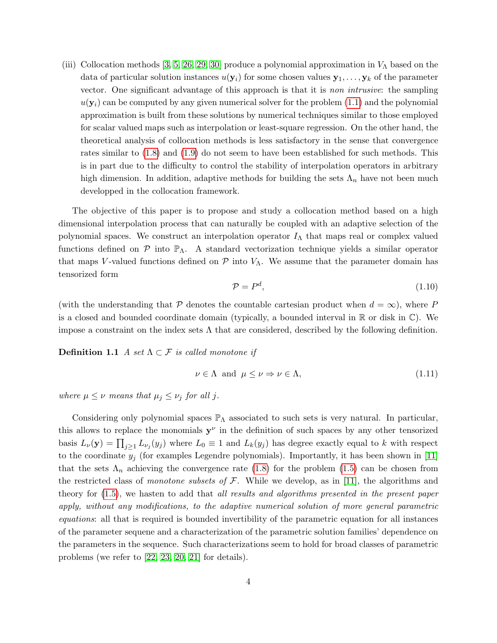(iii) Collocation methods [\[3,](#page-28-1) [5,](#page-29-1) [26,](#page-30-5) [29,](#page-30-6) [30\]](#page-30-7) produce a polynomial approximation in  $V_{\Lambda}$  based on the data of particular solution instances  $u(\mathbf{y}_i)$  for some chosen values  $\mathbf{y}_1, \ldots, \mathbf{y}_k$  of the parameter vector. One significant advantage of this approach is that it is non intrusive: the sampling  $u(\mathbf{y}_i)$  can be computed by any given numerical solver for the problem [\(1.1\)](#page-0-0) and the polynomial approximation is built from these solutions by numerical techniques similar to those employed for scalar valued maps such as interpolation or least-square regression. On the other hand, the theoretical analysis of collocation methods is less satisfactory in the sense that convergence rates similar to [\(1.8\)](#page-2-0) and [\(1.9\)](#page-2-1) do not seem to have been established for such methods. This is in part due to the difficulty to control the stability of interpolation operators in arbitrary high dimension. In addition, adaptive methods for building the sets  $\Lambda_n$  have not been much developped in the collocation framework.

The objective of this paper is to propose and study a collocation method based on a high dimensional interpolation process that can naturally be coupled with an adaptive selection of the polynomial spaces. We construct an interpolation operator  $I_{\Lambda}$  that maps real or complex valued functions defined on  $P$  into  $\mathbb{P}_{\Lambda}$ . A standard vectorization technique yields a similar operator that maps V-valued functions defined on  $\mathcal P$  into  $V_\Lambda$ . We assume that the parameter domain has tensorized form

$$
\mathcal{P} = P^d,\tag{1.10}
$$

(with the understanding that P denotes the countable cartesian product when  $d = \infty$ ), where P is a closed and bounded coordinate domain (typically, a bounded interval in  $\mathbb R$  or disk in  $\mathbb C$ ). We impose a constraint on the index sets  $\Lambda$  that are considered, described by the following definition.

**Definition 1.1** A set  $\Lambda \subset \mathcal{F}$  is called monotone if

<span id="page-3-0"></span>
$$
\nu \in \Lambda \text{ and } \mu \le \nu \Rightarrow \nu \in \Lambda,
$$
\n(1.11)

where  $\mu \leq \nu$  means that  $\mu_j \leq \nu_j$  for all j.

Considering only polynomial spaces  $\mathbb{P}_{\Lambda}$  associated to such sets is very natural. In particular, this allows to replace the monomials  $y^{\nu}$  in the definition of such spaces by any other tensorized basis  $L_{\nu}(\mathbf{y}) = \prod_{j\geq 1} L_{\nu_j}(y_j)$  where  $L_0 \equiv 1$  and  $L_k(y_j)$  has degree exactly equal to k with respect to the coordinate  $y_j$  (for examples Legendre polynomials). Importantly, it has been shown in [\[11\]](#page-29-0) that the sets  $\Lambda_n$  achieving the convergence rate [\(1.8\)](#page-2-0) for the problem [\(1.5\)](#page-1-0) can be chosen from the restricted class of monotone subsets of  $\mathcal{F}$ . While we develop, as in [\[11\]](#page-29-0), the algorithms and theory for [\(1.5\)](#page-1-0), we hasten to add that all results and algorithms presented in the present paper apply, without any modifications, to the adaptive numerical solution of more general parametric equations: all that is required is bounded invertibility of the parametric equation for all instances of the parameter sequene and a characterization of the parametric solution families' dependence on the parameters in the sequence. Such characterizations seem to hold for broad classes of parametric problems (we refer to [\[22,](#page-30-1) [23,](#page-30-2) [20,](#page-30-8) [21\]](#page-30-0) for details).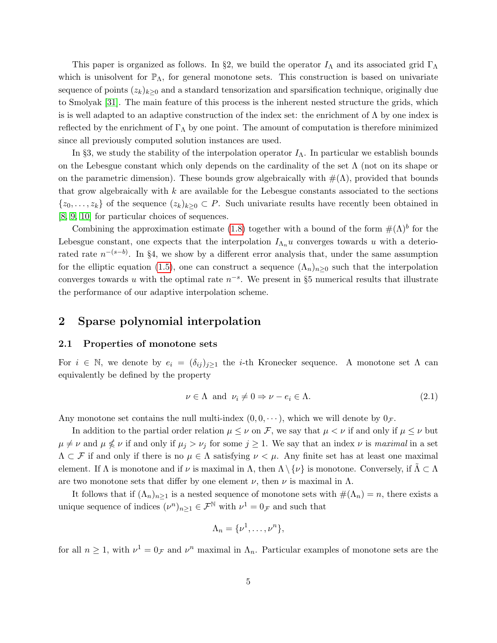This paper is organized as follows. In §2, we build the operator  $I_\Lambda$  and its associated grid  $\Gamma_\Lambda$ which is unisolvent for  $\mathbb{P}_{\Lambda}$ , for general monotone sets. This construction is based on univariate sequence of points  $(z_k)_{k\geq 0}$  and a standard tensorization and sparsification technique, originally due to Smolyak [\[31\]](#page-30-10). The main feature of this process is the inherent nested structure the grids, which is is well adapted to an adaptive construction of the index set: the enrichment of  $\Lambda$  by one index is reflected by the enrichment of  $\Gamma_{\Lambda}$  by one point. The amount of computation is therefore minimized since all previously computed solution instances are used.

In §3, we study the stability of the interpolation operator  $I_\Lambda$ . In particular we establish bounds on the Lebesgue constant which only depends on the cardinality of the set  $\Lambda$  (not on its shape or on the parametric dimension). These bounds grow algebraically with  $\#(\Lambda)$ , provided that bounds that grow algebraically with  $k$  are available for the Lebesgue constants associated to the sections  $\{z_0, \ldots, z_k\}$  of the sequence  $(z_k)_{k\geq 0} \subset P$ . Such univariate results have recently been obtained in [\[8,](#page-29-8) [9,](#page-29-9) [10\]](#page-29-10) for particular choices of sequences.

Combining the approximation estimate [\(1.8\)](#page-2-0) together with a bound of the form  $\#(\Lambda)^b$  for the Lebesgue constant, one expects that the interpolation  $I_{\Lambda_n} u$  converges towards u with a deteriorated rate  $n^{-(s-b)}$ . In §4, we show by a different error analysis that, under the same assumption for the elliptic equation [\(1.5\)](#page-1-0), one can construct a sequence  $(\Lambda_n)_{n>0}$  such that the interpolation converges towards u with the optimal rate  $n^{-s}$ . We present in §5 numerical results that illustrate the performance of our adaptive interpolation scheme.

## 2 Sparse polynomial interpolation

#### 2.1 Properties of monotone sets

For  $i \in \mathbb{N}$ , we denote by  $e_i = (\delta_{ij})_{i\geq 1}$  the *i*-th Kronecker sequence. A monotone set  $\Lambda$  can equivalently be defined by the property

$$
\nu \in \Lambda \text{ and } \nu_i \neq 0 \Rightarrow \nu - e_i \in \Lambda. \tag{2.1}
$$

Any monotone set contains the null multi-index  $(0, 0, \dots)$ , which we will denote by  $0_{\mathcal{F}}$ .

In addition to the partial order relation  $\mu \leq \nu$  on F, we say that  $\mu < \nu$  if and only if  $\mu \leq \nu$  but  $\mu \neq \nu$  and  $\mu \nleq \nu$  if and only if  $\mu_j > \nu_j$  for some  $j \geq 1$ . We say that an index  $\nu$  is maximal in a set  $\Lambda \subset \mathcal{F}$  if and only if there is no  $\mu \in \Lambda$  satisfying  $\nu < \mu$ . Any finite set has at least one maximal element. If  $\Lambda$  is monotone and if  $\nu$  is maximal in  $\Lambda$ , then  $\Lambda \setminus \{\nu\}$  is monotone. Conversely, if  $\Lambda \subset \Lambda$ are two monotone sets that differ by one element  $\nu$ , then  $\nu$  is maximal in  $\Lambda$ .

It follows that if  $(\Lambda_n)_{n>1}$  is a nested sequence of monotone sets with  $\#(\Lambda_n)=n$ , there exists a unique sequence of indices  $(\nu^n)_{n\geq 1} \in \mathcal{F}^{\mathbb{N}}$  with  $\nu^1 = 0_{\mathcal{F}}$  and such that

$$
\Lambda_n = \{\nu^1, \ldots, \nu^n\},\
$$

for all  $n \geq 1$ , with  $\nu^1 = 0_{\mathcal{F}}$  and  $\nu^n$  maximal in  $\Lambda_n$ . Particular examples of monotone sets are the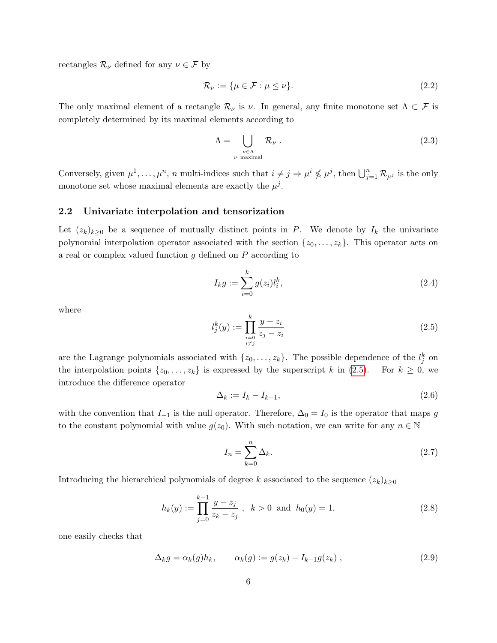rectangles  $\mathcal{R}_{\nu}$  defined for any  $\nu \in \mathcal{F}$  by

$$
\mathcal{R}_{\nu} := \{ \mu \in \mathcal{F} : \mu \le \nu \}. \tag{2.2}
$$

The only maximal element of a rectangle  $\mathcal{R}_{\nu}$  is  $\nu$ . In general, any finite monotone set  $\Lambda \subset \mathcal{F}$  is completely determined by its maximal elements according to

$$
\Lambda = \bigcup_{\substack{\nu \in \Lambda \\ \nu \text{ maximal}}} \mathcal{R}_{\nu} . \tag{2.3}
$$

Conversely, given  $\mu^1, \ldots, \mu^n$ , n multi-indices such that  $i \neq j \Rightarrow \mu^i \nleq \mu^j$ , then  $\bigcup_{j=1}^n \mathcal{R}_{\mu^j}$  is the only monotone set whose maximal elements are exactly the  $\mu^{j}$ .

#### 2.2 Univariate interpolation and tensorization

Let  $(z_k)_{k\geq 0}$  be a sequence of mutually distinct points in P. We denote by  $I_k$  the univariate polynomial interpolation operator associated with the section  $\{z_0, \ldots, z_k\}$ . This operator acts on a real or complex valued function  $g$  defined on  $P$  according to

$$
I_k g := \sum_{i=0}^k g(z_i) l_i^k,
$$
\n(2.4)

where

<span id="page-5-0"></span>
$$
l_j^k(y) := \prod_{\substack{i=0 \ i \neq j}}^k \frac{y - z_i}{z_j - z_i}
$$
\n(2.5)

are the Lagrange polynomials associated with  $\{z_0, \ldots, z_k\}$ . The possible dependence of the  $l_j^k$  on the interpolation points  $\{z_0, \ldots, z_k\}$  is expressed by the superscript k in [\(2.5\)](#page-5-0). For  $k \geq 0$ , we introduce the difference operator

$$
\Delta_k := I_k - I_{k-1},\tag{2.6}
$$

with the convention that  $I_{-1}$  is the null operator. Therefore,  $\Delta_0 = I_0$  is the operator that maps g to the constant polynomial with value  $g(z_0)$ . With such notation, we can write for any  $n \in \mathbb{N}$ 

$$
I_n = \sum_{k=0}^n \Delta_k.
$$
\n(2.7)

Introducing the hierarchical polynomials of degree k associated to the sequence  $(z_k)_{k\geq 0}$ 

<span id="page-5-1"></span>
$$
h_k(y) := \prod_{j=0}^{k-1} \frac{y - z_j}{z_k - z_j}, \quad k > 0 \text{ and } h_0(y) = 1,
$$
\n(2.8)

one easily checks that

<span id="page-5-2"></span>
$$
\Delta_k g = \alpha_k(g) h_k, \qquad \alpha_k(g) := g(z_k) - I_{k-1} g(z_k) , \qquad (2.9)
$$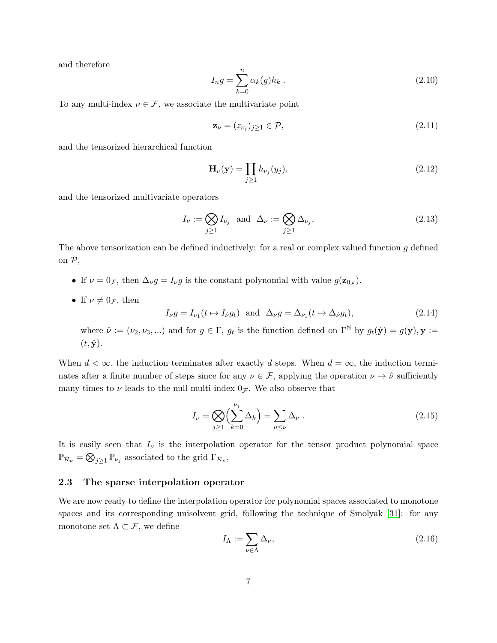and therefore

$$
I_n g = \sum_{k=0}^n \alpha_k(g) h_k .
$$
 (2.10)

To any multi-index  $\nu \in \mathcal{F}$ , we associate the multivariate point

$$
\mathbf{z}_{\nu} = (z_{\nu_j})_{j \ge 1} \in \mathcal{P},\tag{2.11}
$$

and the tensorized hierarchical function

<span id="page-6-1"></span>
$$
\mathbf{H}_{\nu}(\mathbf{y}) = \prod_{j \ge 1} h_{\nu_j}(y_j),\tag{2.12}
$$

and the tensorized multivariate operators

$$
I_{\nu} := \bigotimes_{j \ge 1} I_{\nu_j} \text{ and } \Delta_{\nu} := \bigotimes_{j \ge 1} \Delta_{\nu_j},\tag{2.13}
$$

The above tensorization can be defined inductively: for a real or complex valued function  $g$  defined on P,

- If  $\nu = 0_{\mathcal{F}}$ , then  $\Delta_{\nu} g = I_{\nu} g$  is the constant polynomial with value  $g(\mathbf{z}_{0_{\mathcal{F}}})$ .
- If  $\nu \neq 0$  *F*, then

$$
I_{\nu}g = I_{\nu_1}(t \mapsto I_{\hat{\nu}}g_t) \text{ and } \Delta_{\nu}g = \Delta_{\nu_1}(t \mapsto \Delta_{\hat{\nu}}g_t), \tag{2.14}
$$

where  $\hat{\nu} := (\nu_2, \nu_3, \ldots)$  and for  $g \in \Gamma$ ,  $g_t$  is the function defined on  $\Gamma^{\mathbb{N}}$  by  $g_t(\hat{\mathbf{y}}) = g(\mathbf{y}), \mathbf{y} :=$  $(t, \hat{\mathbf{y}}).$ 

When  $d < \infty$ , the induction terminates after exactly d steps. When  $d = \infty$ , the induction terminates after a finite number of steps since for any  $\nu \in \mathcal{F}$ , applying the operation  $\nu \mapsto \hat{\nu}$  sufficiently many times to  $\nu$  leads to the null multi-index  $0_{\mathcal{F}}$ . We also observe that

<span id="page-6-0"></span>
$$
I_{\nu} = \bigotimes_{j \ge 1} \left( \sum_{k=0}^{\nu_j} \Delta_k \right) = \sum_{\mu \le \nu} \Delta_{\nu} . \tag{2.15}
$$

It is easily seen that  $I_{\nu}$  is the interpolation operator for the tensor product polynomial space  $\mathbb{P}_{\mathcal{R}_{\nu}} = \bigotimes_{j\geq 1} \mathbb{P}_{\nu_j}$  associated to the grid  $\Gamma_{\mathcal{R}_{\nu}}$ ,

### 2.3 The sparse interpolation operator

We are now ready to define the interpolation operator for polynomial spaces associated to monotone spaces and its corresponding unisolvent grid, following the technique of Smolyak [\[31\]](#page-30-10): for any monotone set  $\Lambda \subset \mathcal{F}$ , we define

$$
I_{\Lambda} := \sum_{\nu \in \Lambda} \Delta_{\nu},\tag{2.16}
$$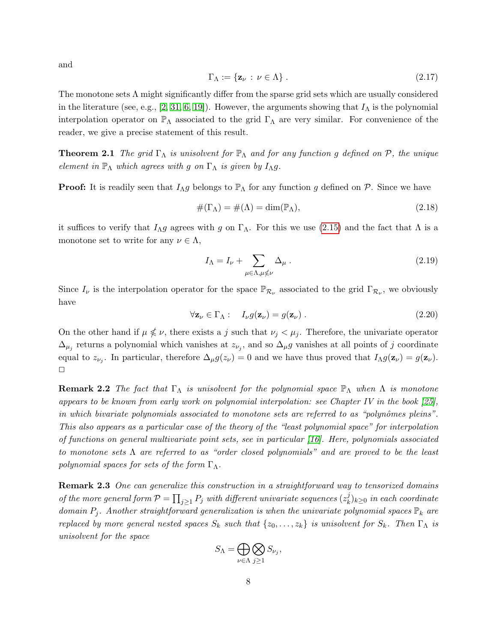and

$$
\Gamma_{\Lambda} := \{ \mathbf{z}_{\nu} \, : \, \nu \in \Lambda \} \tag{2.17}
$$

The monotone sets Λ might significantly differ from the sparse grid sets which are usually considered in the literature (see, e.g., [\[2,](#page-28-2) [31,](#page-30-10) [6,](#page-29-11) [19\]](#page-30-11)). However, the arguments showing that  $I_{\Lambda}$  is the polynomial interpolation operator on  $\mathbb{P}_{\Lambda}$  associated to the grid  $\Gamma_{\Lambda}$  are very similar. For convenience of the reader, we give a precise statement of this result.

**Theorem 2.1** The grid  $\Gamma_{\Lambda}$  is unisolvent for  $\mathbb{P}_{\Lambda}$  and for any function g defined on  $\mathcal{P}$ , the unique element in  $\mathbb{P}_{\Lambda}$  which agrees with g on  $\Gamma_{\Lambda}$  is given by  $I_{\Lambda}g$ .

**Proof:** It is readily seen that  $I_{\Lambda}g$  belongs to  $\mathbb{P}_{\Lambda}$  for any function g defined on  $\mathcal{P}$ . Since we have

$$
\#(\Gamma_{\Lambda}) = \#(\Lambda) = \dim(\mathbb{P}_{\Lambda}),\tag{2.18}
$$

it suffices to verify that  $I_{\Lambda}g$  agrees with g on  $\Gamma_{\Lambda}$ . For this we use [\(2.15\)](#page-6-0) and the fact that  $\Lambda$  is a monotone set to write for any  $\nu \in \Lambda$ ,

$$
I_{\Lambda} = I_{\nu} + \sum_{\mu \in \Lambda, \mu \not\leq \nu} \Delta_{\mu} \,. \tag{2.19}
$$

Since  $I_{\nu}$  is the interpolation operator for the space  $\mathbb{P}_{\mathcal{R}_{\nu}}$  associated to the grid  $\Gamma_{\mathcal{R}_{\nu}}$ , we obviously have

$$
\forall \mathbf{z}_{\nu} \in \Gamma_{\Lambda}: I_{\nu}g(\mathbf{z}_{\nu}) = g(\mathbf{z}_{\nu}). \qquad (2.20)
$$

On the other hand if  $\mu \nleq \nu$ , there exists a j such that  $\nu_j < \mu_j$ . Therefore, the univariate operator  $\Delta_{\mu_j}$  returns a polynomial which vanishes at  $z_{\nu_j}$ , and so  $\Delta_{\mu}g$  vanishes at all points of j coordinate equal to  $z_{\nu_j}$ . In particular, therefore  $\Delta_\mu g(z_\nu) = 0$  and we have thus proved that  $I_{\Lambda} g(\mathbf{z}_{\nu}) = g(\mathbf{z}_{\nu})$ .  $\Box$ 

**Remark 2.2** The fact that  $\Gamma_{\Lambda}$  is unisolvent for the polynomial space  $\mathbb{P}_{\Lambda}$  when  $\Lambda$  is monotone appears to be known from early work on polynomial interpolation: see Chapter IV in the book [\[25\]](#page-30-12), in which bivariate polynomials associated to monotone sets are referred to as "polynômes pleins". This also appears as a particular case of the theory of the "least polynomial space" for interpolation of functions on general multivariate point sets, see in particular  $[16]$ . Here, polynomials associated to monotone sets  $\Lambda$  are referred to as "order closed polynomials" and are proved to be the least polynomial spaces for sets of the form  $\Gamma_{\Lambda}$ .

**Remark 2.3** One can generalize this construction in a straightforward way to tensorized domains of the more general form  $\mathcal{P} = \prod_{j\geq 1} P_j$  with different univariate sequences  $(z_k^j)$  $\kappa^{j}_{k}$ ) $_{k\geq0}$  in each coordinate domain  $P_i$ . Another straightforward generalization is when the univariate polynomial spaces  $\mathbb{P}_k$  are replaced by more general nested spaces  $S_k$  such that  $\{z_0, \ldots, z_k\}$  is unisolvent for  $S_k$ . Then  $\Gamma_{\Lambda}$  is unisolvent for the space

$$
S_{\Lambda} = \bigoplus_{\nu \in \Lambda} \bigotimes_{j \geq 1} S_{\nu_j},
$$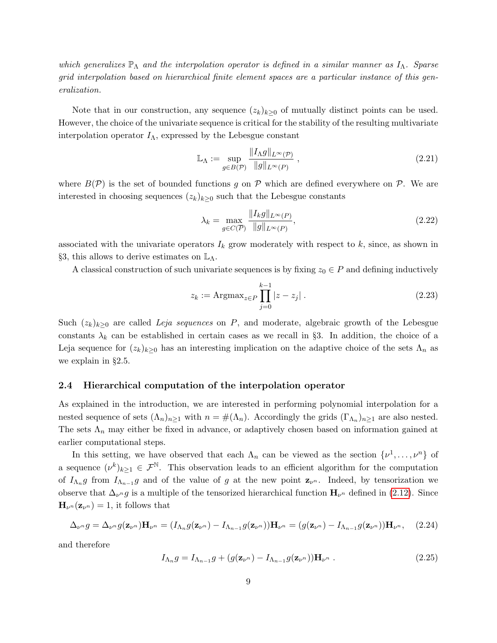which generalizes  $\mathbb{P}_{\Lambda}$  and the interpolation operator is defined in a similar manner as  $I_{\Lambda}$ . Sparse grid interpolation based on hierarchical finite element spaces are a particular instance of this generalization.

Note that in our construction, any sequence  $(z_k)_{k\geq 0}$  of mutually distinct points can be used. However, the choice of the univariate sequence is critical for the stability of the resulting multivariate interpolation operator  $I_\Lambda$ , expressed by the Lebesgue constant

<span id="page-8-1"></span>
$$
\mathbb{L}_{\Lambda} := \sup_{g \in B(\mathcal{P})} \frac{\|I_{\Lambda}g\|_{L^{\infty}(\mathcal{P})}}{\|g\|_{L^{\infty}(P)}} ,
$$
\n(2.21)

where  $B(\mathcal{P})$  is the set of bounded functions g on  $\mathcal P$  which are defined everywhere on  $\mathcal P$ . We are interested in choosing sequences  $(z_k)_{k\geq 0}$  such that the Lebesgue constants

$$
\lambda_k = \max_{g \in C(\overline{P})} \frac{\|I_k g\|_{L^\infty(P)}}{\|g\|_{L^\infty(P)}},\tag{2.22}
$$

associated with the univariate operators  $I_k$  grow moderately with respect to  $k$ , since, as shown in §3, this allows to derive estimates on  $\mathbb{L}_{\Lambda}$ .

A classical construction of such univariate sequences is by fixing  $z_0 \in P$  and defining inductively

<span id="page-8-0"></span>
$$
z_k := \text{Argmax}_{z \in P} \prod_{j=0}^{k-1} |z - z_j| \,. \tag{2.23}
$$

Such  $(z_k)_{k>0}$  are called Leja sequences on P, and moderate, algebraic growth of the Lebesgue constants  $\lambda_k$  can be established in certain cases as we recall in §3. In addition, the choice of a Leja sequence for  $(z_k)_{k\geq 0}$  has an interesting implication on the adaptive choice of the sets  $\Lambda_n$  as we explain in §2.5.

#### 2.4 Hierarchical computation of the interpolation operator

As explained in the introduction, we are interested in performing polynomial interpolation for a nested sequence of sets  $(\Lambda_n)_{n\geq 1}$  with  $n = \#(\Lambda_n)$ . Accordingly the grids  $(\Gamma_{\Lambda_n})_{n\geq 1}$  are also nested. The sets  $\Lambda_n$  may either be fixed in advance, or adaptively chosen based on information gained at earlier computational steps.

In this setting, we have observed that each  $\Lambda_n$  can be viewed as the section  $\{\nu^1, \ldots, \nu^n\}$  of a sequence  $(\nu^k)_{k\geq 1} \in \mathcal{F}^{\mathbb{N}}$ . This observation leads to an efficient algorithm for the computation of  $I_{\Lambda_n}g$  from  $I_{\Lambda_{n-1}}g$  and of the value of g at the new point  $\mathbf{z}_{\nu^n}$ . Indeed, by tensorization we observe that  $\Delta_{\nu}$ <sup>n</sup> g is a multiple of the tensorized hierarchical function  $H_{\nu}$ <sup>n</sup> defined in [\(2.12\)](#page-6-1). Since  $\mathbf{H}_{\nu^n}(\mathbf{z}_{\nu^n})=1$ , it follows that

$$
\Delta_{\nu^n} g = \Delta_{\nu^n} g(\mathbf{z}_{\nu^n}) \mathbf{H}_{\nu^n} = (I_{\Lambda_n} g(\mathbf{z}_{\nu^n}) - I_{\Lambda_{n-1}} g(\mathbf{z}_{\nu^n})) \mathbf{H}_{\nu^n} = (g(\mathbf{z}_{\nu^n}) - I_{\Lambda_{n-1}} g(\mathbf{z}_{\nu^n})) \mathbf{H}_{\nu^n}, \quad (2.24)
$$

and therefore

$$
I_{\Lambda_n}g = I_{\Lambda_{n-1}}g + (g(\mathbf{z}_{\nu^n}) - I_{\Lambda_{n-1}}g(\mathbf{z}_{\nu^n}))\mathbf{H}_{\nu^n} .
$$
\n(2.25)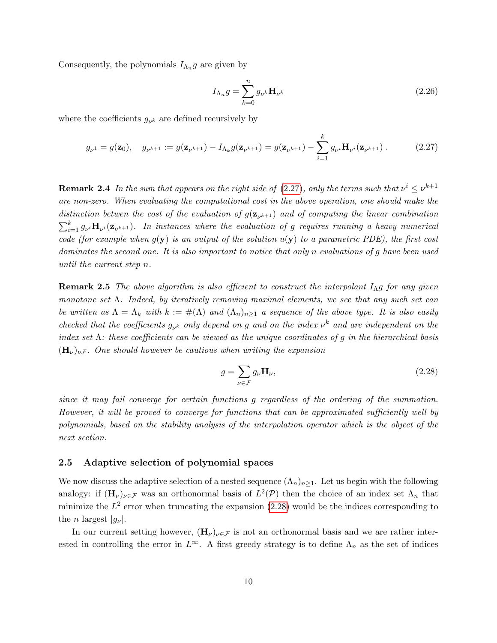Consequently, the polynomials  $I_{\Lambda_n}g$  are given by

$$
I_{\Lambda_n}g = \sum_{k=0}^n g_{\nu^k} \mathbf{H}_{\nu^k}
$$
\n(2.26)

where the coefficients  $g_{\nu^k}$  are defined recursively by

<span id="page-9-0"></span>
$$
g_{\nu^1} = g(\mathbf{z}_0), \quad g_{\nu^{k+1}} := g(\mathbf{z}_{\nu^{k+1}}) - I_{\Lambda_k} g(\mathbf{z}_{\nu^{k+1}}) = g(\mathbf{z}_{\nu^{k+1}}) - \sum_{i=1}^k g_{\nu^i} \mathbf{H}_{\nu^i}(\mathbf{z}_{\nu^{k+1}}) \,. \tag{2.27}
$$

**Remark 2.4** In the sum that appears on the right side of [\(2.27\)](#page-9-0), only the terms such that  $\nu^i \leq \nu^{k+1}$ are non-zero. When evaluating the computational cost in the above operation, one should make the distinction betwen the cost of the evaluation of  $g(\mathbf{z}_{\nu^{k+1}})$  and of computing the linear combination  $\sum_{i=1}^k g_{\nu^i} \mathbf{H}_{\nu^i}(\mathbf{z}_{\nu^{k+1}})$ . In instances where the evaluation of g requires running a heavy numerical code (for example when  $q(y)$  is an output of the solution  $u(y)$  to a parametric PDE), the first cost dominates the second one. It is also important to notice that only n evaluations of g have been used until the current step n.

**Remark 2.5** The above algorithm is also efficient to construct the interpolant  $I_{\Lambda}g$  for any given monotone set  $\Lambda$ . Indeed, by iteratively removing maximal elements, we see that any such set can be written as  $\Lambda = \Lambda_k$  with  $k := #(\Lambda)$  and  $(\Lambda_n)_{n \geq 1}$  a sequence of the above type. It is also easily checked that the coefficients  $g_{\nu^k}$  only depend on g and on the index  $\nu^k$  and are independent on the index set  $\Lambda$ : these coefficients can be viewed as the unique coordinates of g in the hierarchical basis  $(\mathbf{H}_{\nu})_{\nu}$ . One should however be cautious when writing the expansion

<span id="page-9-1"></span>
$$
g = \sum_{\nu \in \mathcal{F}} g_{\nu} \mathbf{H}_{\nu},\tag{2.28}
$$

since it may fail converge for certain functions g regardless of the ordering of the summation. However, it will be proved to converge for functions that can be approximated sufficiently well by polynomials, based on the stability analysis of the interpolation operator which is the object of the next section.

#### 2.5 Adaptive selection of polynomial spaces

We now discuss the adaptive selection of a nested sequence  $(\Lambda_n)_{n>1}$ . Let us begin with the following analogy: if  $(\mathbf{H}_{\nu})_{\nu \in \mathcal{F}}$  was an orthonormal basis of  $L^2(\mathcal{P})$  then the choice of an index set  $\Lambda_n$  that minimize the  $L^2$  error when truncating the expansion  $(2.28)$  would be the indices corresponding to the *n* largest  $|q_{\nu}|$ .

In our current setting however,  $(H_\nu)_{\nu \in \mathcal{F}}$  is not an orthonormal basis and we are rather interested in controlling the error in  $L^{\infty}$ . A first greedy strategy is to define  $\Lambda_n$  as the set of indices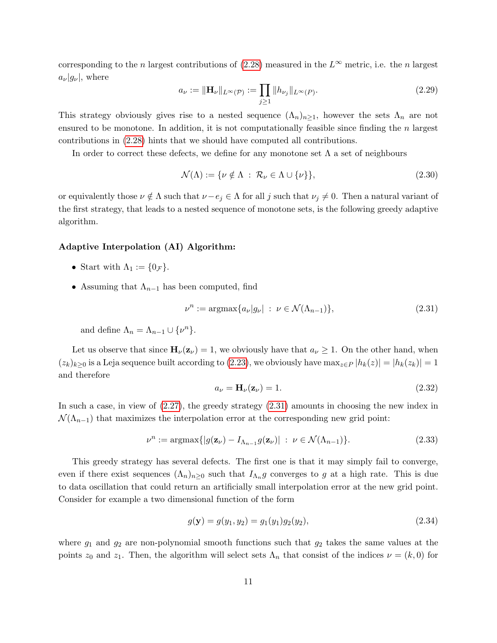corresponding to the n largest contributions of [\(2.28\)](#page-9-1) measured in the  $L^{\infty}$  metric, i.e. the n largest  $a_{\nu}|g_{\nu}|$ , where

$$
a_{\nu} := \|\mathbf{H}_{\nu}\|_{L^{\infty}(\mathcal{P})} := \prod_{j \ge 1} \|h_{\nu_j}\|_{L^{\infty}(P)}.
$$
\n(2.29)

This strategy obviously gives rise to a nested sequence  $(\Lambda_n)_{n\geq 1}$ , however the sets  $\Lambda_n$  are not ensured to be monotone. In addition, it is not computationally feasible since finding the  $n$  largest contributions in [\(2.28\)](#page-9-1) hints that we should have computed all contributions.

In order to correct these defects, we define for any monotone set  $\Lambda$  a set of neighbours

$$
\mathcal{N}(\Lambda) := \{ \nu \notin \Lambda \, : \, \mathcal{R}_{\nu} \in \Lambda \cup \{ \nu \} \},\tag{2.30}
$$

or equivalently those  $\nu \notin \Lambda$  such that  $\nu-e_j \in \Lambda$  for all j such that  $\nu_j \neq 0$ . Then a natural variant of the first strategy, that leads to a nested sequence of monotone sets, is the following greedy adaptive algorithm.

#### Adaptive Interpolation (AI) Algorithm:

- Start with  $\Lambda_1 := \{0_{\mathcal{F}}\}.$
- Assuming that  $\Lambda_{n-1}$  has been computed, find

<span id="page-10-0"></span>
$$
\nu^n := \operatorname{argmax} \{ a_{\nu} | g_{\nu} | : \nu \in \mathcal{N}(\Lambda_{n-1}) \},\tag{2.31}
$$

and define  $\Lambda_n = \Lambda_{n-1} \cup \{\nu^n\}.$ 

Let us observe that since  $H_{\nu}(z_{\nu}) = 1$ , we obviously have that  $a_{\nu} \geq 1$ . On the other hand, when  $(z_k)_{k>0}$  is a Leja sequence built according to [\(2.23\)](#page-8-0), we obviously have  $\max_{z\in P} |h_k(z)| = |h_k(z_k)| = 1$ and therefore

$$
a_{\nu} = \mathbf{H}_{\nu}(\mathbf{z}_{\nu}) = 1. \tag{2.32}
$$

In such a case, in view of [\(2.27\)](#page-9-0), the greedy strategy [\(2.31\)](#page-10-0) amounts in choosing the new index in  $\mathcal{N}(\Lambda_{n-1})$  that maximizes the interpolation error at the corresponding new grid point:

$$
\nu^n := \operatorname{argmax} \{ |g(\mathbf{z}_{\nu}) - I_{\Lambda_{n-1}} g(\mathbf{z}_{\nu})| \ : \ \nu \in \mathcal{N}(\Lambda_{n-1}) \}. \tag{2.33}
$$

This greedy strategy has several defects. The first one is that it may simply fail to converge, even if there exist sequences  $(\Lambda_n)_{n\geq 0}$  such that  $I_{\Lambda_n}g$  converges to g at a high rate. This is due to data oscillation that could return an artificially small interpolation error at the new grid point. Consider for example a two dimensional function of the form

$$
g(\mathbf{y}) = g(y_1, y_2) = g_1(y_1)g_2(y_2),\tag{2.34}
$$

where  $g_1$  and  $g_2$  are non-polynomial smooth functions such that  $g_2$  takes the same values at the points  $z_0$  and  $z_1$ . Then, the algorithm will select sets  $\Lambda_n$  that consist of the indices  $\nu = (k, 0)$  for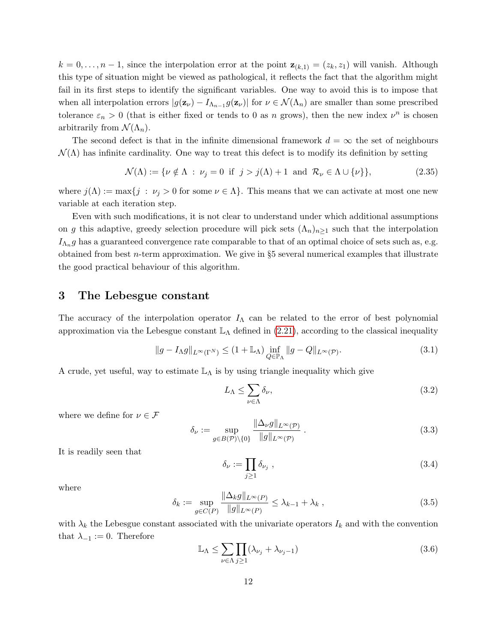$k = 0, \ldots, n-1$ , since the interpolation error at the point  $\mathbf{z}_{(k,1)} = (z_k, z_1)$  will vanish. Although this type of situation might be viewed as pathological, it reflects the fact that the algorithm might fail in its first steps to identify the significant variables. One way to avoid this is to impose that when all interpolation errors  $|g(\mathbf{z}_{\nu}) - I_{\Lambda_{n-1}} g(\mathbf{z}_{\nu})|$  for  $\nu \in \mathcal{N}(\Lambda_n)$  are smaller than some prescribed tolerance  $\varepsilon_n > 0$  (that is either fixed or tends to 0 as n grows), then the new index  $\nu^n$  is chosen arbitrarily from  $\mathcal{N}(\Lambda_n)$ .

The second defect is that in the infinite dimensional framework  $d = \infty$  the set of neighbours  $\mathcal{N}(\Lambda)$  has infinite cardinality. One way to treat this defect is to modify its definition by setting

$$
\mathcal{N}(\Lambda) := \{ \nu \notin \Lambda \; : \; \nu_j = 0 \; \text{ if } \; j > j(\Lambda) + 1 \; \text{ and } \; \mathcal{R}_\nu \in \Lambda \cup \{ \nu \} \}, \tag{2.35}
$$

where  $j(\Lambda) := \max\{j : \nu_j > 0 \text{ for some } \nu \in \Lambda\}.$  This means that we can activate at most one new variable at each iteration step.

Even with such modifications, it is not clear to understand under which additional assumptions on g this adaptive, greedy selection procedure will pick sets  $(\Lambda_n)_{n\geq 1}$  such that the interpolation  $I_{\Lambda_n}g$  has a guaranteed convergence rate comparable to that of an optimal choice of sets such as, e.g. obtained from best  $n$ -term approximation. We give in §5 several numerical examples that illustrate the good practical behaviour of this algorithm.

## 3 The Lebesgue constant

The accuracy of the interpolation operator  $I_{\Lambda}$  can be related to the error of best polynomial approximation via the Lebesgue constant  $\mathbb{L}_{\Lambda}$  defined in [\(2.21\)](#page-8-1), according to the classical inequality

$$
||g - I_{\Lambda}g||_{L^{\infty}(\Gamma^N)} \le (1 + \mathbb{L}_{\Lambda}) \inf_{Q \in \mathbb{P}_{\Lambda}} ||g - Q||_{L^{\infty}(\mathcal{P})}. \tag{3.1}
$$

A crude, yet useful, way to estimate  $\mathbb{L}_{\Lambda}$  is by using triangle inequality which give

$$
L_{\Lambda} \le \sum_{\nu \in \Lambda} \delta_{\nu},\tag{3.2}
$$

where we define for  $\nu\in\mathcal{F}$ 

$$
\delta_{\nu} := \sup_{g \in B(\mathcal{P}) \setminus \{0\}} \frac{\|\Delta_{\nu}g\|_{L^{\infty}(\mathcal{P})}}{\|g\|_{L^{\infty}(\mathcal{P})}}.
$$
\n(3.3)

It is readily seen that

$$
\delta_{\nu} := \prod_{j \ge 1} \delta_{\nu_j} \tag{3.4}
$$

where

<span id="page-11-1"></span>
$$
\delta_k := \sup_{g \in C(P)} \frac{\|\Delta_k g\|_{L^\infty(P)}}{\|g\|_{L^\infty(P)}} \le \lambda_{k-1} + \lambda_k \,,\tag{3.5}
$$

with  $\lambda_k$  the Lebesgue constant associated with the univariate operators  $I_k$  and with the convention that  $\lambda_{-1} := 0$ . Therefore

<span id="page-11-0"></span>
$$
\mathbb{L}_{\Lambda} \le \sum_{\nu \in \Lambda} \prod_{j \ge 1} (\lambda_{\nu_j} + \lambda_{\nu_j - 1}) \tag{3.6}
$$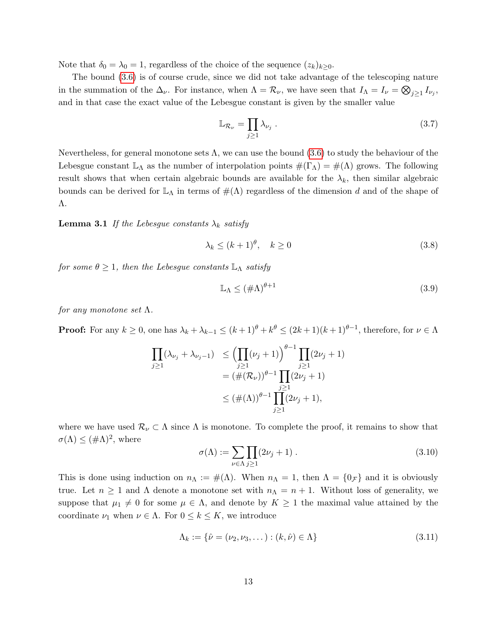Note that  $\delta_0 = \lambda_0 = 1$ , regardless of the choice of the sequence  $(z_k)_{k>0}$ .

The bound [\(3.6\)](#page-11-0) is of course crude, since we did not take advantage of the telescoping nature in the summation of the  $\Delta_{\nu}$ . For instance, when  $\Lambda = \mathcal{R}_{\nu}$ , we have seen that  $I_{\Lambda} = I_{\nu} = \bigotimes_{j\geq 1} I_{\nu_j}$ , and in that case the exact value of the Lebesgue constant is given by the smaller value

$$
\mathbb{L}_{\mathcal{R}_{\nu}} = \prod_{j \ge 1} \lambda_{\nu_j} \tag{3.7}
$$

Nevertheless, for general monotone sets  $\Lambda$ , we can use the bound [\(3.6\)](#page-11-0) to study the behaviour of the Lebesgue constant  $\mathbb{L}_{\Lambda}$  as the number of interpolation points  $\#(\Gamma_{\Lambda}) = \#(\Lambda)$  grows. The following result shows that when certain algebraic bounds are available for the  $\lambda_k$ , then similar algebraic bounds can be derived for  $\mathbb{L}_{\Lambda}$  in terms of  $\#(\Lambda)$  regardless of the dimension d and of the shape of Λ.

<span id="page-12-0"></span>**Lemma 3.1** If the Lebesgue constants  $\lambda_k$  satisfy

$$
\lambda_k \le (k+1)^\theta, \quad k \ge 0 \tag{3.8}
$$

for some  $\theta \geq 1$ , then the Lebesgue constants  $\mathbb{L}_\Lambda$  satisfy

$$
\mathbb{L}_{\Lambda} \le (\#\Lambda)^{\theta+1} \tag{3.9}
$$

for any monotone set  $\Lambda$ .

**Proof:** For any  $k \geq 0$ , one has  $\lambda_k + \lambda_{k-1} \leq (k+1)^{\theta} + k^{\theta} \leq (2k+1)(k+1)^{\theta-1}$ , therefore, for  $\nu \in \Lambda$ 

$$
\prod_{j\geq 1} (\lambda_{\nu_j} + \lambda_{\nu_j - 1}) \leq \left( \prod_{j\geq 1} (\nu_j + 1) \right)^{\theta - 1} \prod_{j\geq 1} (2\nu_j + 1)
$$
\n
$$
= (\#(\mathcal{R}_{\nu}))^{\theta - 1} \prod_{j\geq 1} (2\nu_j + 1)
$$
\n
$$
\leq (\#(\Lambda))^{\theta - 1} \prod_{j\geq 1} (2\nu_j + 1),
$$

where we have used  $\mathcal{R}_{\nu} \subset \Lambda$  since  $\Lambda$  is monotone. To complete the proof, it remains to show that  $\sigma(\Lambda) \leq (\#\Lambda)^2$ , where

$$
\sigma(\Lambda) := \sum_{\nu \in \Lambda} \prod_{j \ge 1} (2\nu_j + 1) \tag{3.10}
$$

This is done using induction on  $n_{\Lambda} := \#(\Lambda)$ . When  $n_{\Lambda} = 1$ , then  $\Lambda = \{0_{\mathcal{F}}\}$  and it is obviously true. Let  $n \geq 1$  and  $\Lambda$  denote a monotone set with  $n_{\Lambda} = n + 1$ . Without loss of generality, we suppose that  $\mu_1 \neq 0$  for some  $\mu \in \Lambda$ , and denote by  $K \geq 1$  the maximal value attained by the coordinate  $\nu_1$  when  $\nu \in \Lambda$ . For  $0 \leq k \leq K$ , we introduce

$$
\Lambda_k := \{ \hat{\nu} = (\nu_2, \nu_3, \dots) : (k, \hat{\nu}) \in \Lambda \}
$$
\n(3.11)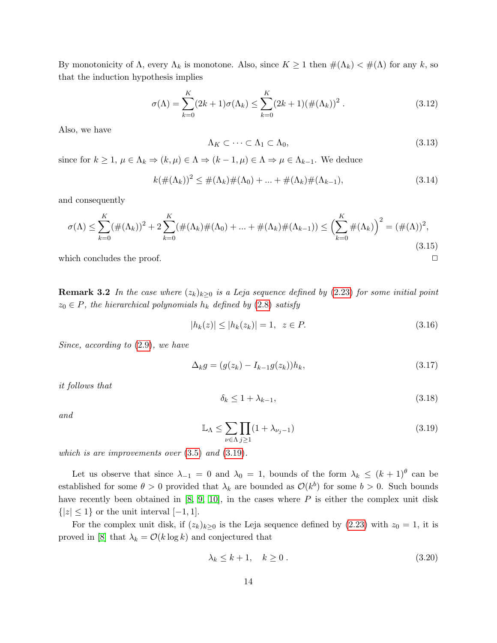By monotonicity of  $\Lambda$ , every  $\Lambda_k$  is monotone. Also, since  $K \geq 1$  then  $\#(\Lambda_k) < \#(\Lambda)$  for any k, so that the induction hypothesis implies

$$
\sigma(\Lambda) = \sum_{k=0}^{K} (2k+1)\sigma(\Lambda_k) \le \sum_{k=0}^{K} (2k+1)(\#(\Lambda_k))^2.
$$
\n(3.12)

Also, we have

$$
\Lambda_K \subset \cdots \subset \Lambda_1 \subset \Lambda_0,\tag{3.13}
$$

since for  $k \geq 1$ ,  $\mu \in \Lambda_k \Rightarrow (k, \mu) \in \Lambda \Rightarrow (k-1, \mu) \in \Lambda \Rightarrow \mu \in \Lambda_{k-1}$ . We deduce

$$
k(\#(\Lambda_k))^2 \le \#(\Lambda_k)\#(\Lambda_0) + \dots + \#(\Lambda_k)\#(\Lambda_{k-1}),
$$
\n(3.14)

and consequently

$$
\sigma(\Lambda) \le \sum_{k=0}^{K} (\#(\Lambda_k))^2 + 2\sum_{k=0}^{K} (\#(\Lambda_k)\#(\Lambda_0) + \dots + \#(\Lambda_k)\#(\Lambda_{k-1})) \le \left(\sum_{k=0}^{K} \#(\Lambda_k)\right)^2 = (\#(\Lambda))^2,
$$
\n(3.15)

which concludes the proof.  $\Box$ 

**Remark 3.2** In the case where  $(z_k)_{k>0}$  is a Leja sequence defined by [\(2.23\)](#page-8-0) for some initial point  $z_0 \in P$ , the hierarchical polynomials  $h_k$  defined by [\(2.8\)](#page-5-1) satisfy

$$
|h_k(z)| \le |h_k(z_k)| = 1, \ z \in P. \tag{3.16}
$$

Since, according to [\(2.9\)](#page-5-2), we have

$$
\Delta_k g = (g(z_k) - I_{k-1}g(z_k))h_k, \tag{3.17}
$$

it follows that

$$
\delta_k \le 1 + \lambda_{k-1},\tag{3.18}
$$

and

<span id="page-13-0"></span>
$$
\mathbb{L}_{\Lambda} \le \sum_{\nu \in \Lambda} \prod_{j \ge 1} (1 + \lambda_{\nu_j - 1}) \tag{3.19}
$$

which is are improvements over  $(3.5)$  and  $(3.19)$ .

Let us observe that since  $\lambda_{-1} = 0$  and  $\lambda_0 = 1$ , bounds of the form  $\lambda_k \leq (k+1)^{\theta}$  can be established for some  $\theta > 0$  provided that  $\lambda_k$  are bounded as  $\mathcal{O}(k^b)$  for some  $b > 0$ . Such bounds have recently been obtained in  $[8, 9, 10]$  $[8, 9, 10]$  $[8, 9, 10]$ , in the cases where  $P$  is either the complex unit disk  $\{|z| \leq 1\}$  or the unit interval  $[-1, 1]$ .

For the complex unit disk, if  $(z_k)_{k\geq 0}$  is the Leja sequence defined by  $(2.23)$  with  $z_0 = 1$ , it is proved in [\[8\]](#page-29-8) that  $\lambda_k = \mathcal{O}(k \log k)$  and conjectured that

$$
\lambda_k \le k+1, \quad k \ge 0 \tag{3.20}
$$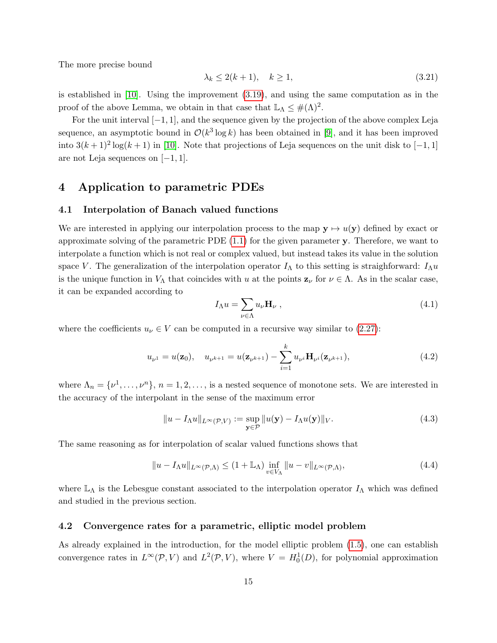The more precise bound

$$
\lambda_k \le 2(k+1), \quad k \ge 1,\tag{3.21}
$$

is established in [\[10\]](#page-29-10). Using the improvement [\(3.19\)](#page-13-0), and using the same computation as in the proof of the above Lemma, we obtain in that case that  $\mathbb{L}_{\Lambda} \leq \#(\Lambda)^2$ .

For the unit interval  $[-1, 1]$ , and the sequence given by the projection of the above complex Leja sequence, an asymptotic bound in  $\mathcal{O}(k^3 \log k)$  has been obtained in [\[9\]](#page-29-9), and it has been improved into  $3(k+1)^2 \log(k+1)$  in [\[10\]](#page-29-10). Note that projections of Leja sequences on the unit disk to [-1,1] are not Leja sequences on [−1, 1].

# 4 Application to parametric PDEs

### 4.1 Interpolation of Banach valued functions

We are interested in applying our interpolation process to the map  $y \mapsto u(y)$  defined by exact or approximate solving of the parametric PDE [\(1.1\)](#page-0-0) for the given parameter y. Therefore, we want to interpolate a function which is not real or complex valued, but instead takes its value in the solution space V. The generalization of the interpolation operator  $I_{\Lambda}$  to this setting is straighforward:  $I_{\Lambda}u$ is the unique function in  $V_{\Lambda}$  that coincides with u at the points  $z_{\nu}$  for  $\nu \in \Lambda$ . As in the scalar case, it can be expanded according to

$$
I_{\Lambda}u = \sum_{\nu \in \Lambda} u_{\nu} \mathbf{H}_{\nu} , \qquad (4.1)
$$

where the coefficients  $u_{\nu} \in V$  can be computed in a recursive way similar to [\(2.27\)](#page-9-0):

$$
u_{\nu^{1}} = u(\mathbf{z}_{0}), \quad u_{\nu^{k+1}} = u(\mathbf{z}_{\nu^{k+1}}) - \sum_{i=1}^{k} u_{\nu^{i}} \mathbf{H}_{\nu^{i}}(\mathbf{z}_{\nu^{k+1}}), \tag{4.2}
$$

where  $\Lambda_n = \{\nu^1, \ldots, \nu^n\}, n = 1, 2, \ldots$ , is a nested sequence of monotone sets. We are interested in the accuracy of the interpolant in the sense of the maximum error

$$
||u - I_{\Lambda}u||_{L^{\infty}(\mathcal{P}, V)} := \sup_{\mathbf{y} \in \mathcal{P}} ||u(\mathbf{y}) - I_{\Lambda}u(\mathbf{y})||_{V}.
$$
\n(4.3)

The same reasoning as for interpolation of scalar valued functions shows that

<span id="page-14-0"></span>
$$
||u - I_{\Lambda}u||_{L^{\infty}(\mathcal{P},\Lambda)} \le (1 + \mathbb{L}_{\Lambda}) \inf_{v \in V_{\Lambda}} ||u - v||_{L^{\infty}(\mathcal{P},\Lambda)},
$$
\n(4.4)

where  $\mathbb{L}_{\Lambda}$  is the Lebesgue constant associated to the interpolation operator  $I_{\Lambda}$  which was defined and studied in the previous section.

#### 4.2 Convergence rates for a parametric, elliptic model problem

As already explained in the introduction, for the model elliptic problem [\(1.5\)](#page-1-0), one can establish convergence rates in  $L^{\infty}(\mathcal{P}, V)$  and  $L^2(\mathcal{P}, V)$ , where  $V = H_0^1(D)$ , for polynomial approximation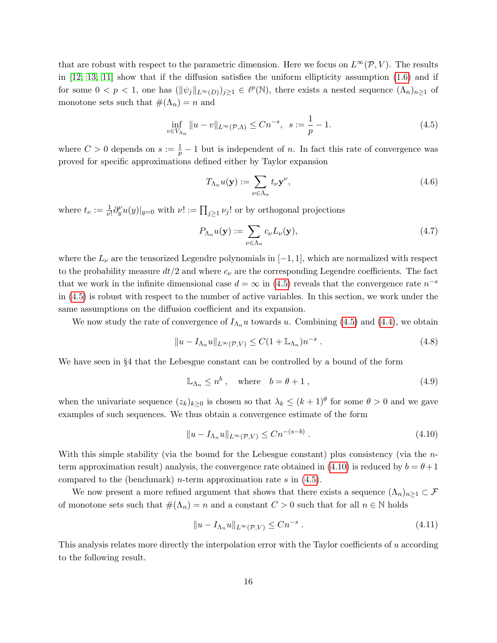that are robust with respect to the parametric dimension. Here we focus on  $L^{\infty}(\mathcal{P}, V)$ . The results in [\[12,](#page-29-4) [13,](#page-29-5) [11\]](#page-29-0) show that if the diffusion satisfies the uniform ellipticity assumption [\(1.6\)](#page-1-1) and if for some  $0 < p < 1$ , one has  $(\|\psi_j\|_{L^{\infty}(D)})_{j\geq 1} \in \ell^p(\mathbb{N})$ , there exists a nested sequence  $(\Lambda_n)_{n\geq 1}$  of monotone sets such that  $\#(\Lambda_n) = n$  and

<span id="page-15-0"></span>
$$
\inf_{v \in V_{\Lambda_n}} \|u - v\|_{L^{\infty}(\mathcal{P}, \Lambda)} \le Cn^{-s}, \ \ s := \frac{1}{p} - 1. \tag{4.5}
$$

where  $C > 0$  depends on  $s := \frac{1}{p} - 1$  but is independent of n. In fact this rate of convergence was proved for specific approximations defined either by Taylor expansion

<span id="page-15-3"></span>
$$
T_{\Lambda_n}u(\mathbf{y}) := \sum_{\nu \in \Lambda_n} t_{\nu} \mathbf{y}^{\nu},\tag{4.6}
$$

where  $t_{\nu} := \frac{1}{\nu!} \partial_y^{\nu} u(y)|_{y=0}$  with  $\nu! := \prod_{j \geq 1} \nu_j!$  or by orthogonal projections

$$
P_{\Lambda_n}u(\mathbf{y}) := \sum_{\nu \in \Lambda_n} c_{\nu}L_{\nu}(\mathbf{y}),\tag{4.7}
$$

where the  $L_{\nu}$  are the tensorized Legendre polynomials in  $[-1, 1]$ , which are normalized with respect to the probability measure  $dt/2$  and where  $c<sub>\nu</sub>$  are the corresponding Legendre coefficients. The fact that we work in the infinite dimensional case  $d = \infty$  in [\(4.5\)](#page-15-0) reveals that the convergence rate  $n^{-s}$ in [\(4.5\)](#page-15-0) is robust with respect to the number of active variables. In this section, we work under the same assumptions on the diffusion coefficient and its expansion.

We now study the rate of convergence of  $I_{\Lambda_n}u$  towards u. Combining [\(4.5\)](#page-15-0) and [\(4.4\)](#page-14-0), we obtain

$$
||u - I_{\Lambda_n}u||_{L^{\infty}(\mathcal{P}, V)} \le C(1 + \mathbb{L}_{\Lambda_n})n^{-s} . \tag{4.8}
$$

We have seen in §4 that the Lebesgue constant can be controlled by a bound of the form

$$
\mathbb{L}_{\Lambda_n} \le n^b, \quad \text{where} \quad b = \theta + 1 \,, \tag{4.9}
$$

when the univariate sequence  $(z_k)_{k\geq 0}$  is chosen so that  $\lambda_k \leq (k+1)^{\theta}$  for some  $\theta > 0$  and we gave examples of such sequences. We thus obtain a convergence estimate of the form

<span id="page-15-1"></span>
$$
||u - I_{\Lambda_n}u||_{L^{\infty}(\mathcal{P}, V)} \leq Cn^{-(s-b)}.
$$
\n(4.10)

With this simple stability (via the bound for the Lebesgue constant) plus consistency (via the n-term approximation result) analysis, the convergence rate obtained in [\(4.10\)](#page-15-1) is reduced by  $b = \theta + 1$ compared to the (benchmark) *n*-term approximation rate s in  $(4.5)$ .

We now present a more refined argument that shows that there exists a sequence  $(\Lambda_n)_{n\geq 1} \subset \mathcal{F}$ of monotone sets such that  $\#(\Lambda_n) = n$  and a constant  $C > 0$  such that for all  $n \in \mathbb{N}$  holds

$$
||u - I_{\Lambda_n}u||_{L^{\infty}(\mathcal{P}, V)} \leq Cn^{-s} . \tag{4.11}
$$

<span id="page-15-2"></span>This analysis relates more directly the interpolation error with the Taylor coefficients of u according to the following result.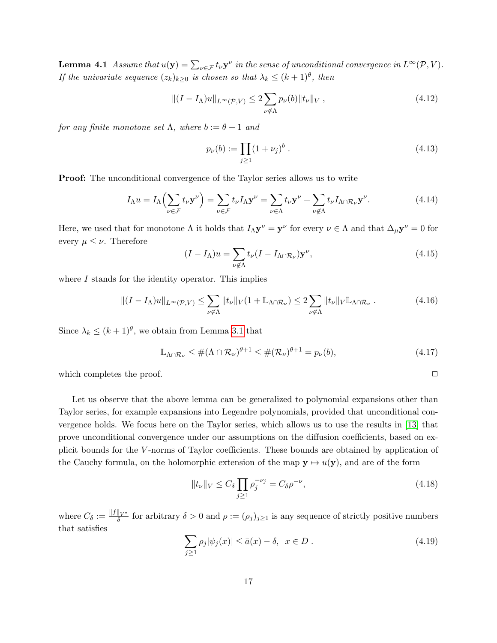**Lemma 4.1** Assume that  $u(\mathbf{y}) = \sum_{\nu \in \mathcal{F}} t_{\nu} \mathbf{y}^{\nu}$  in the sense of unconditional convergence in  $L^{\infty}(\mathcal{P}, V)$ . If the univariate sequence  $(z_k)_{k\geq 0}$  is chosen so that  $\lambda_k \leq (k+1)^{\theta}$ , then

$$
||(I - I_{\Lambda})u||_{L^{\infty}(\mathcal{P}, V)} \le 2 \sum_{\nu \notin \Lambda} p_{\nu}(b)||t_{\nu}||_V , \qquad (4.12)
$$

for any finite monotone set  $\Lambda$ , where  $b := \theta + 1$  and

<span id="page-16-2"></span>
$$
p_{\nu}(b) := \prod_{j \ge 1} (1 + \nu_j)^b . \tag{4.13}
$$

Proof: The unconditional convergence of the Taylor series allows us to write

$$
I_{\Lambda}u = I_{\Lambda}\left(\sum_{\nu \in \mathcal{F}} t_{\nu} \mathbf{y}^{\nu}\right) = \sum_{\nu \in \mathcal{F}} t_{\nu} I_{\Lambda} \mathbf{y}^{\nu} = \sum_{\nu \in \Lambda} t_{\nu} \mathbf{y}^{\nu} + \sum_{\nu \notin \Lambda} t_{\nu} I_{\Lambda \cap \mathcal{R}_{\nu}} \mathbf{y}^{\nu}.
$$
(4.14)

Here, we used that for monotone  $\Lambda$  it holds that  $I_{\Lambda} \mathbf{y}^{\nu} = \mathbf{y}^{\nu}$  for every  $\nu \in \Lambda$  and that  $\Delta_{\mu} \mathbf{y}^{\nu} = 0$  for every  $\mu \leq \nu$ . Therefore

$$
(I - I_{\Lambda})u = \sum_{\nu \notin \Lambda} t_{\nu} (I - I_{\Lambda \cap \mathcal{R}_{\nu}}) \mathbf{y}^{\nu},
$$
\n(4.15)

where I stands for the identity operator. This implies

$$
\|(I - I_{\Lambda})u\|_{L^{\infty}(\mathcal{P}, V)} \leq \sum_{\nu \notin \Lambda} \|t_{\nu}\|_{V} (1 + \mathbb{L}_{\Lambda \cap \mathcal{R}_{\nu}}) \leq 2 \sum_{\nu \notin \Lambda} \|t_{\nu}\|_{V} \mathbb{L}_{\Lambda \cap \mathcal{R}_{\nu}}.
$$
\n(4.16)

Since  $\lambda_k \leq (k+1)^{\theta}$ , we obtain from Lemma [3.1](#page-12-0) that

$$
\mathbb{L}_{\Lambda \cap \mathcal{R}_{\nu}} \leq \# (\Lambda \cap \mathcal{R}_{\nu})^{\theta+1} \leq \# (\mathcal{R}_{\nu})^{\theta+1} = p_{\nu}(b), \tag{4.17}
$$

which completes the proof.  $\Box$ 

Let us observe that the above lemma can be generalized to polynomial expansions other than Taylor series, for example expansions into Legendre polynomials, provided that unconditional convergence holds. We focus here on the Taylor series, which allows us to use the results in [\[13\]](#page-29-5) that prove unconditional convergence under our assumptions on the diffusion coefficients, based on explicit bounds for the V -norms of Taylor coefficients. These bounds are obtained by application of the Cauchy formula, on the holomorphic extension of the map  $y \mapsto u(y)$ , and are of the form

<span id="page-16-1"></span>
$$
||t_{\nu}||_{V} \le C_{\delta} \prod_{j\ge 1} \rho_j^{-\nu_j} = C_{\delta} \rho^{-\nu},
$$
\n(4.18)

where  $C_{\delta} := \frac{\|f\|_{V^*}}{\delta}$  for arbitrary  $\delta > 0$  and  $\rho := (\rho_j)_{j \geq 1}$  is any sequence of strictly positive numbers that satisfies

<span id="page-16-0"></span>
$$
\sum_{j\geq 1} \rho_j |\psi_j(x)| \leq \bar{a}(x) - \delta, \ \ x \in D \ . \tag{4.19}
$$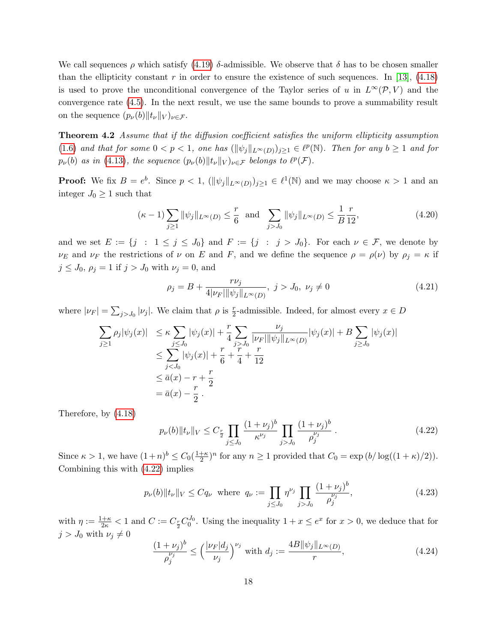We call sequences  $\rho$  which satisfy [\(4.19\)](#page-16-0)  $\delta$ -admissible. We observe that  $\delta$  has to be chosen smaller than the ellipticity constant r in order to ensure the existence of such sequences. In [\[13\]](#page-29-5),  $(4.18)$ is used to prove the unconditional convergence of the Taylor series of u in  $L^{\infty}(\mathcal{P}, V)$  and the convergence rate [\(4.5\)](#page-15-0). In the next result, we use the same bounds to prove a summability result on the sequence  $(p_{\nu}(b)||t_{\nu}||_V)_{\nu\in\mathcal{F}}$ .

Theorem 4.2 Assume that if the diffusion coefficient satisfies the uniform ellipticity assumption [\(1.6\)](#page-1-1) and that for some  $0 < p < 1$ , one has  $(\|\psi_j\|_{L^{\infty}(D)})_{j\geq 1} \in \ell^p(\mathbb{N})$ . Then for any  $b \geq 1$  and for  $p_{\nu}(b)$  as in [\(4.13\)](#page-16-2), the sequence  $(p_{\nu}(b)||t_{\nu}||_V)_{\nu \in \mathcal{F}}$  belongs to  $\ell^p(\mathcal{F})$ .

**Proof:** We fix  $B = e^b$ . Since  $p < 1$ ,  $(\|\psi_j\|_{L^{\infty}(D)})_{j\geq 1} \in \ell^1(\mathbb{N})$  and we may choose  $\kappa > 1$  and an integer  $J_0 \geq 1$  such that

<span id="page-17-1"></span>
$$
(\kappa - 1) \sum_{j \ge 1} ||\psi_j||_{L^{\infty}(D)} \le \frac{r}{6} \text{ and } \sum_{j > J_0} ||\psi_j||_{L^{\infty}(D)} \le \frac{1}{B} \frac{r}{12},
$$
\n(4.20)

and we set  $E := \{j : 1 \le j \le J_0\}$  and  $F := \{j : j > J_0\}$ . For each  $\nu \in \mathcal{F}$ , we denote by  $\nu_E$  and  $\nu_F$  the restrictions of  $\nu$  on E and F, and we define the sequence  $\rho = \rho(\nu)$  by  $\rho_j = \kappa$  if  $j \leq J_0, \rho_j = 1$  if  $j > J_0$  with  $\nu_j = 0$ , and

$$
\rho_j = B + \frac{r\nu_j}{4|\nu_F| \|\psi_j\|_{L^\infty(D)}}, \ j > J_0, \ \nu_j \neq 0 \tag{4.21}
$$

where  $|\nu_F| = \sum_{j>J_0} |\nu_j|$ . We claim that  $\rho$  is  $\frac{r}{2}$ -admissible. Indeed, for almost every  $x \in D$ 

$$
\sum_{j\geq 1} \rho_j |\psi_j(x)| \leq \kappa \sum_{j\leq J_0} |\psi_j(x)| + \frac{r}{4} \sum_{j\geq J_0} \frac{\nu_j}{|\nu_F| \|\psi_j\|_{L^{\infty}(D)}} |\psi_j(x)| + B \sum_{j\geq J_0} |\psi_j(x)|
$$
  
\n
$$
\leq \sum_{j\leq J_0} |\psi_j(x)| + \frac{r}{6} + \frac{r}{4} + \frac{r}{12}
$$
  
\n
$$
\leq \bar{a}(x) - r + \frac{r}{2}
$$
  
\n
$$
= \bar{a}(x) - \frac{r}{2}.
$$

Therefore, by [\(4.18\)](#page-16-1)

<span id="page-17-0"></span>
$$
p_{\nu}(b)||t_{\nu}||_V \le C_{\frac{r}{2}} \prod_{j \le J_0} \frac{(1+\nu_j)^b}{\kappa^{\nu_j}} \prod_{j>J_0} \frac{(1+\nu_j)^b}{\rho_j^{\nu_j}}.
$$
\n(4.22)

Since  $\kappa > 1$ , we have  $(1+n)^b \leq C_0(\frac{1+\kappa}{2})$  $\frac{+\kappa}{2}$ <sup>n</sup> for any  $n \ge 1$  provided that  $C_0 = \exp(b/\log((1+\kappa)/2)).$ Combining this with [\(4.22\)](#page-17-0) implies

<span id="page-17-2"></span>
$$
p_{\nu}(b)||t_{\nu}||_V \le Cq_{\nu} \text{ where } q_{\nu} := \prod_{j \le J_0} \eta^{\nu_j} \prod_{j > J_0} \frac{(1 + \nu_j)^b}{\rho_j^{\nu_j}},
$$
\n(4.23)

with  $\eta := \frac{1+\kappa}{2\kappa} < 1$  and  $C := C_{\frac{r}{2}} C_0^{J_0}$ . Using the inequality  $1+x \leq e^x$  for  $x > 0$ , we deduce that for  $j > J_0$  with  $\nu_j \neq 0$ 

$$
\frac{(1+\nu_j)^b}{\rho_j^{\nu_j}} \le \left(\frac{|\nu_F|d_j}{\nu_j}\right)^{\nu_j} \text{ with } d_j := \frac{4B \|\psi_j\|_{L^\infty(D)}}{r},\tag{4.24}
$$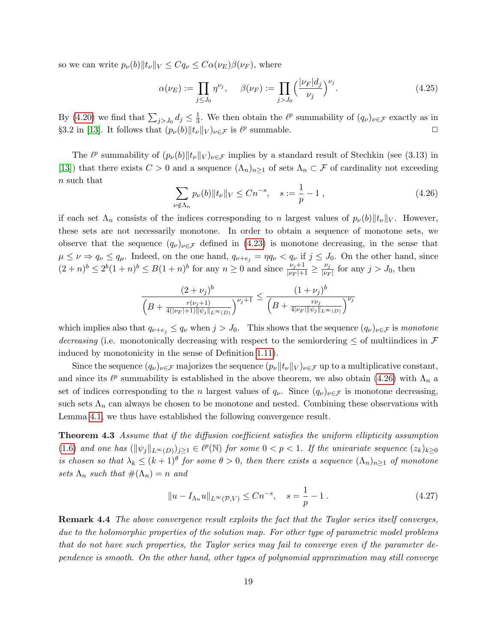so we can write  $p_{\nu}(b)||t_{\nu}||_V \leq Cq_{\nu} \leq C\alpha(\nu_E)\beta(\nu_F)$ , where

$$
\alpha(\nu_E) := \prod_{j \le J_0} \eta^{\nu_j}, \quad \beta(\nu_F) := \prod_{j > J_0} \left(\frac{|\nu_F| d_j}{\nu_j}\right)^{\nu_j}.
$$
\n(4.25)

By [\(4.20\)](#page-17-1) we find that  $\sum_{j>J_0} d_j \leq \frac{1}{3}$  $\frac{1}{3}$ . We then obtain the  $\ell^p$  summability of  $(q_\nu)_{\nu \in \mathcal{F}}$  exactly as in §3.2 in [\[13\]](#page-29-5). It follows that  $(p_\nu(b)||t_\nu||_V)_{\nu \in \mathcal{F}}$  is  $\ell^p$  summable.

The  $\ell^p$  summability of  $(p_\nu(b)||t_\nu||_V)_{\nu\in\mathcal{F}}$  implies by a standard result of Stechkin (see (3.13) in [\[13\]](#page-29-5)) that there exists  $C > 0$  and a sequence  $(\Lambda_n)_{n\geq 1}$  of sets  $\Lambda_n \subset \mathcal{F}$  of cardinality not exceeding n such that

<span id="page-18-0"></span>
$$
\sum_{\nu \notin \Lambda_n} p_{\nu}(b) \| t_{\nu} \|_{V} \le Cn^{-s}, \quad s := \frac{1}{p} - 1 , \tag{4.26}
$$

if each set  $\Lambda_n$  consists of the indices corresponding to n largest values of  $p_\nu(b)||_{V_\nu}||_V$ . However, these sets are not necessarily monotone. In order to obtain a sequence of monotone sets, we observe that the sequence  $(q_{\nu})_{\nu\in\mathcal{F}}$  defined in [\(4.23\)](#page-17-2) is monotone decreasing, in the sense that  $\mu \leq \nu \Rightarrow q_{\nu} \leq q_{\mu}$ . Indeed, on the one hand,  $q_{\nu+e_j} = \eta q_{\nu} < q_{\nu}$  if  $j \leq J_0$ . On the other hand, since  $(2+n)^b \leq 2^b(1+n)^b \leq B(1+n)^b$  for any  $n \geq 0$  and since  $\frac{\nu_j+1}{|\nu_F|+1} \geq \frac{\nu_j}{|\nu_F|+1}$  $\frac{\nu_j}{|\nu_F|}$  for any  $j > J_0$ , then

$$
\frac{(2+\nu_j)^b}{\left(B+\frac{r(\nu_j+1)}{4(|\nu_F|+1)||\psi_j||_{L^{\infty}(D)}}\right)^{\nu_j+1}} \leq \frac{(1+\nu_j)^b}{\left(B+\frac{r\nu_j}{4|\nu_F||\psi_j||_{L^{\infty}(D)}}\right)^{\nu_j}}
$$

which implies also that  $q_{\nu+e_j} \le q_{\nu}$  when  $j > J_0$ . This shows that the sequence  $(q_{\nu})_{\nu \in \mathcal{F}}$  is monotone decreasing (i.e. monotonically decreasing with respect to the semiordering  $\leq$  of multiindices in  $\mathcal F$ induced by monotonicity in the sense of Definition [1.11\)](#page-3-0).

Since the sequence  $(q_{\nu})_{\nu\in\mathcal{F}}$  majorizes the sequence  $(p_{\nu}||t_{\nu}||_V)_{\nu\in\mathcal{F}}$  up to a multiplicative constant, and since its  $\ell^p$  summability is established in the above theorem, we also obtain [\(4.26\)](#page-18-0) with  $\Lambda_n$  a set of indices corresponding to the n largest values of  $q_{\nu}$ . Since  $(q_{\nu})_{\nu \in \mathcal{F}}$  is monotone decreasing, such sets  $\Lambda_n$  can always be chosen to be monotone and nested. Combining these observations with Lemma [4.1,](#page-15-2) we thus have established the following convergence result.

Theorem 4.3 Assume that if the diffusion coefficient satisfies the uniform ellipticity assumption [\(1.6\)](#page-1-1) and one has  $(\|\psi_j\|_{L^{\infty}(D)})_{j\geq 1} \in \ell^p(\mathbb{N})$  for some  $0 < p < 1$ . If the univariate sequence  $(z_k)_{k\geq 0}$ is chosen so that  $\lambda_k \leq (k+1)^{\theta}$  for some  $\theta > 0$ , then there exists a sequence  $(\Lambda_n)_{n\geq 1}$  of monotone sets  $\Lambda_n$  such that  $\#(\Lambda_n)=n$  and

$$
||u - I_{\Lambda_n}u||_{L^{\infty}(\mathcal{P}, V)} \le Cn^{-s}, \quad s = \frac{1}{p} - 1.
$$
 (4.27)

Remark 4.4 The above convergence result exploits the fact that the Taylor series itself converges, due to the holomorphic properties of the solution map. For other type of parametric model problems that do not have such properties, the Taylor series may fail to converge even if the parameter dependence is smooth. On the other hand, other types of polynomial approximation may still converge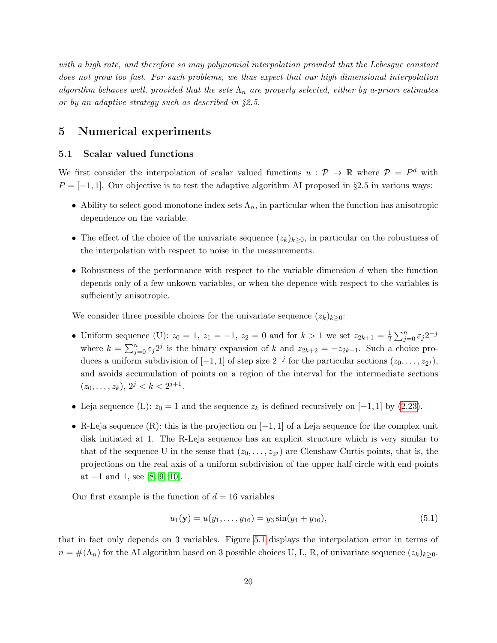with a high rate, and therefore so may polynomial interpolation provided that the Lebesgue constant does not grow too fast. For such problems, we thus expect that our high dimensional interpolation algorithm behaves well, provided that the sets  $\Lambda_n$  are properly selected, either by a-priori estimates or by an adaptive strategy such as described in §2.5.

# <span id="page-19-0"></span>5 Numerical experiments

### 5.1 Scalar valued functions

We first consider the interpolation of scalar valued functions  $u : \mathcal{P} \to \mathbb{R}$  where  $\mathcal{P} = P^d$  with  $P = [-1, 1]$ . Our objective is to test the adaptive algorithm AI proposed in §2.5 in various ways:

- Ability to select good monotone index sets  $\Lambda_n$ , in particular when the function has anisotropic dependence on the variable.
- The effect of the choice of the univariate sequence  $(z_k)_{k\geq 0}$ , in particular on the robustness of the interpolation with respect to noise in the measurements.
- Robustness of the performance with respect to the variable dimension d when the function depends only of a few unkown variables, or when the depence with respect to the variables is sufficiently anisotropic.

We consider three possible choices for the univariate sequence  $(z_k)_{k>0}$ :

- Uniform sequence (U):  $z_0 = 1, z_1 = -1, z_2 = 0$  and for  $k > 1$  we set  $z_{2k+1} = \frac{1}{2}$  $\frac{1}{2} \sum_{j=0}^n \varepsilon_j 2^{-j}$ where  $k = \sum_{j=0}^{n} \varepsilon_j 2^j$  is the binary expansion of k and  $z_{2k+2} = -z_{2k+1}$ . Such a choice produces a uniform subdivision of  $[-1, 1]$  of step size  $2^{-j}$  for the particular sections  $(z_0, \ldots, z_{2^j})$ , and avoids accumulation of points on a region of the interval for the intermediate sections  $(z_0, \ldots, z_k), 2^j < k < 2^{j+1}.$
- Leja sequence (L):  $z_0 = 1$  and the sequence  $z_k$  is defined recursively on [-1, 1] by [\(2.23\)](#page-8-0).
- R-Leja sequence (R): this is the projection on  $[-1, 1]$  of a Leja sequence for the complex unit disk initiated at 1. The R-Leja sequence has an explicit structure which is very similar to that of the sequence U in the sense that  $(z_0, \ldots, z_{2^j})$  are Clenshaw-Curtis points, that is, the projections on the real axis of a uniform subdivision of the upper half-circle with end-points at  $-1$  and 1, see [\[8,](#page-29-8) [9,](#page-29-9) [10\]](#page-29-10).

Our first example is the function of  $d = 16$  variables

<span id="page-19-1"></span>
$$
u_1(\mathbf{y}) = u(y_1, \dots, y_{16}) = y_3 \sin(y_4 + y_{16}), \tag{5.1}
$$

that in fact only depends on 3 variables. Figure [5.1](#page-20-0) displays the interpolation error in terms of  $n = \#(\Lambda_n)$  for the AI algorithm based on 3 possible choices U, L, R, of univariate sequence  $(z_k)_{k\geq 0}$ .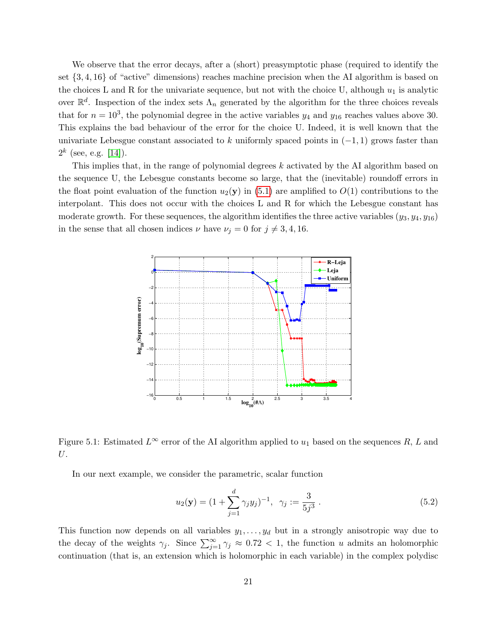We observe that the error decays, after a (short) preasymptotic phase (required to identify the set {3, 4, 16} of "active" dimensions) reaches machine precision when the AI algorithm is based on the choices L and R for the univariate sequence, but not with the choice U, although  $u_1$  is analytic over  $\mathbb{R}^d$ . Inspection of the index sets  $\Lambda_n$  generated by the algorithm for the three choices reveals that for  $n = 10^3$ , the polynomial degree in the active variables  $y_4$  and  $y_{16}$  reaches values above 30. This explains the bad behaviour of the error for the choice U. Indeed, it is well known that the univariate Lebesgue constant associated to k uniformly spaced points in  $(-1, 1)$  grows faster than  $2^k$  (see, e.g. [\[14\]](#page-29-13)).

This implies that, in the range of polynomial degrees  $k$  activated by the AI algorithm based on the sequence U, the Lebesgue constants become so large, that the (inevitable) roundoff errors in the float point evaluation of the function  $u_2(y)$  in [\(5.1\)](#page-19-1) are amplified to  $O(1)$  contributions to the interpolant. This does not occur with the choices L and R for which the Lebesgue constant has moderate growth. For these sequences, the algorithm identifies the three active variables  $(y_3, y_4, y_{16})$ in the sense that all chosen indices  $\nu$  have  $\nu_j = 0$  for  $j \neq 3, 4, 16$ .



<span id="page-20-0"></span>Figure 5.1: Estimated  $L^{\infty}$  error of the AI algorithm applied to  $u_1$  based on the sequences R, L and U.

In our next example, we consider the parametric, scalar function

$$
u_2(\mathbf{y}) = (1 + \sum_{j=1}^d \gamma_j y_j)^{-1}, \ \ \gamma_j := \frac{3}{5j^3} \ . \tag{5.2}
$$

This function now depends on all variables  $y_1, \ldots, y_d$  but in a strongly anisotropic way due to the decay of the weights  $\gamma_j$ . Since  $\sum_{j=1}^{\infty} \gamma_j \approx 0.72 < 1$ , the function u admits an holomorphic continuation (that is, an extension which is holomorphic in each variable) in the complex polydisc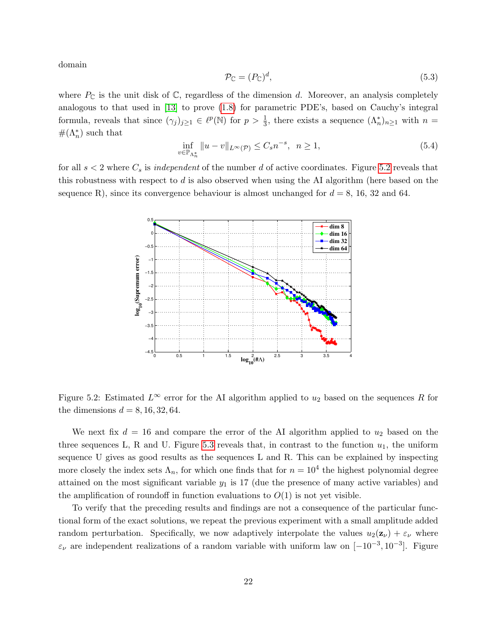domain

$$
\mathcal{P}_{\mathbb{C}} = (P_{\mathbb{C}})^d,\tag{5.3}
$$

where  $P_{\mathbb{C}}$  is the unit disk of  $\mathbb{C}$ , regardless of the dimension d. Moreover, an analysis completely analogous to that used in [\[13\]](#page-29-5) to prove [\(1.8\)](#page-2-0) for parametric PDE's, based on Cauchy's integral formula, reveals that since  $(\gamma_j)_{j\geq 1} \in \ell^p(\mathbb{N})$  for  $p > \frac{1}{3}$ , there exists a sequence  $(\Lambda_n^*)_{n\geq 1}$  with  $n =$  $\#(\Lambda_n^*)$  such that

$$
\inf_{v \in \mathbb{P}_{\Lambda_n^*}} \|u - v\|_{L^\infty(\mathcal{P})} \le C_s n^{-s}, \quad n \ge 1,
$$
\n
$$
(5.4)
$$

for all  $s < 2$  where  $C_s$  is *independent* of the number d of active coordinates. Figure [5.2](#page-21-0) reveals that this robustness with respect to d is also observed when using the AI algorithm (here based on the sequence R), since its convergence behaviour is almost unchanged for  $d = 8$ , 16, 32 and 64.



<span id="page-21-0"></span>Figure 5.2: Estimated  $L^{\infty}$  error for the AI algorithm applied to  $u_2$  based on the sequences R for the dimensions  $d = 8, 16, 32, 64$ .

We next fix  $d = 16$  and compare the error of the AI algorithm applied to  $u_2$  based on the three sequences L, R and U. Figure [5.3](#page-22-0) reveals that, in contrast to the function  $u_1$ , the uniform sequence U gives as good results as the sequences L and R. This can be explained by inspecting more closely the index sets  $\Lambda_n$ , for which one finds that for  $n = 10^4$  the highest polynomial degree attained on the most significant variable  $y_1$  is 17 (due the presence of many active variables) and the amplification of roundoff in function evaluations to  $O(1)$  is not yet visible.

To verify that the preceding results and findings are not a consequence of the particular functional form of the exact solutions, we repeat the previous experiment with a small amplitude added random perturbation. Specifically, we now adaptively interpolate the values  $u_2(\mathbf{z}_\nu) + \varepsilon_\nu$  where  $\varepsilon_{\nu}$  are independent realizations of a random variable with uniform law on  $[-10^{-3}, 10^{-3}]$ . Figure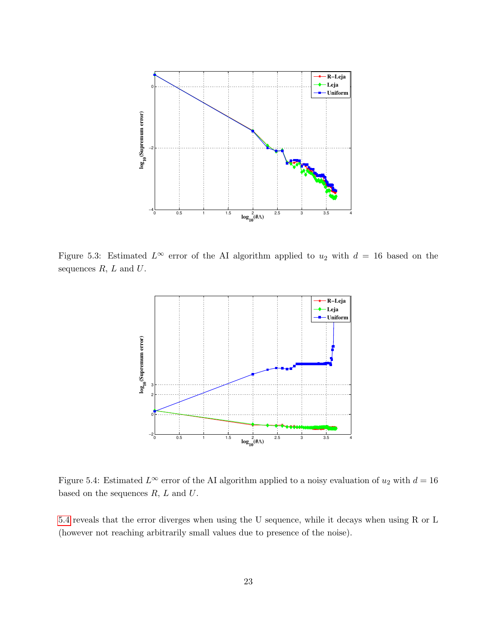

Figure 5.3: Estimated  $L^{\infty}$  error of the AI algorithm applied to  $u_2$  with  $d = 16$  based on the sequences  $R, L$  and  $U$ .

<span id="page-22-0"></span>

<span id="page-22-1"></span>Figure 5.4: Estimated  $L^{\infty}$  error of the AI algorithm applied to a noisy evaluation of  $u_2$  with  $d = 16$ based on the sequences  $R, L$  and  $U$ .

[5.4](#page-22-1) reveals that the error diverges when using the U sequence, while it decays when using R or L (however not reaching arbitrarily small values due to presence of the noise).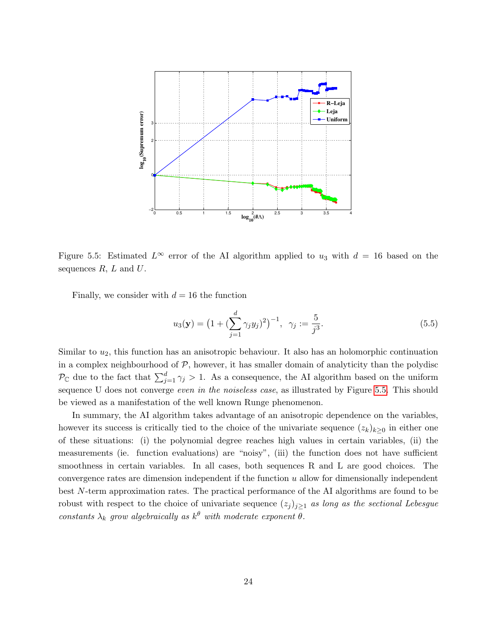

<span id="page-23-0"></span>Figure 5.5: Estimated  $L^{\infty}$  error of the AI algorithm applied to  $u_3$  with  $d = 16$  based on the sequences  $R, L$  and  $U$ .

Finally, we consider with  $d = 16$  the function

$$
u_3(\mathbf{y}) = \left(1 + \left(\sum_{j=1}^d \gamma_j y_j\right)^2\right)^{-1}, \ \ \gamma_j := \frac{5}{j^3}.\tag{5.5}
$$

Similar to  $u_2$ , this function has an anisotropic behaviour. It also has an holomorphic continuation in a complex neighbourhood of  $P$ , however, it has smaller domain of analyticity than the polydisc  $\mathcal{P}_{\mathbb{C}}$  due to the fact that  $\sum_{j=1}^d \gamma_j > 1$ . As a consequence, the AI algorithm based on the uniform sequence U does not converge *even in the noiseless case*, as illustrated by Figure [5.5.](#page-23-0) This should be viewed as a manifestation of the well known Runge phenomenon.

In summary, the AI algorithm takes advantage of an anisotropic dependence on the variables, however its success is critically tied to the choice of the univariate sequence  $(z_k)_{k\geq 0}$  in either one of these situations: (i) the polynomial degree reaches high values in certain variables, (ii) the measurements (ie. function evaluations) are "noisy", (iii) the function does not have sufficient smoothness in certain variables. In all cases, both sequences R and L are good choices. The convergence rates are dimension independent if the function u allow for dimensionally independent best N-term approximation rates. The practical performance of the AI algorithms are found to be robust with respect to the choice of univariate sequence  $(z_j)_{j\geq 1}$  as long as the sectional Lebesgue constants  $\lambda_k$  grow algebraically as  $k^{\theta}$  with moderate exponent  $\theta$ .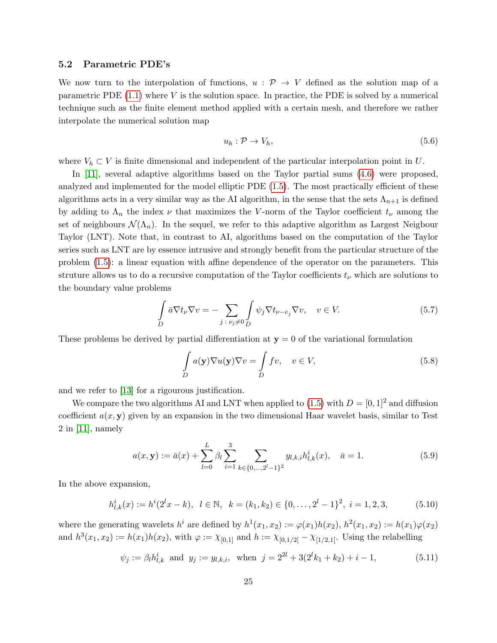### 5.2 Parametric PDE's

We now turn to the interpolation of functions,  $u : \mathcal{P} \to V$  defined as the solution map of a parametric PDE  $(1.1)$  where V is the solution space. In practice, the PDE is solved by a numerical technique such as the finite element method applied with a certain mesh, and therefore we rather interpolate the numerical solution map

$$
u_h: \mathcal{P} \to V_h,\tag{5.6}
$$

where  $V_h \subset V$  is finite dimensional and independent of the particular interpolation point in U.

In [\[11\]](#page-29-0), several adaptive algorithms based on the Taylor partial sums [\(4.6\)](#page-15-3) were proposed, analyzed and implemented for the model elliptic PDE [\(1.5\)](#page-1-0). The most practically efficient of these algorithms acts in a very similar way as the AI algorithm, in the sense that the sets  $\Lambda_{n+1}$  is defined by adding to  $\Lambda_n$  the index  $\nu$  that maximizes the V-norm of the Taylor coefficient  $t_{\nu}$  among the set of neighbours  $\mathcal{N}(\Lambda_n)$ . In the sequel, we refer to this adaptive algorithm as Largest Neigbour Taylor (LNT). Note that, in contrast to AI, algorithms based on the computation of the Taylor series such as LNT are by essence intrusive and strongly benefit from the particular structure of the problem [\(1.5\)](#page-1-0): a linear equation with affine dependence of the operator on the parameters. This struture allows us to do a recursive computation of the Taylor coefficients  $t_{\nu}$  which are solutions to the boundary value problems

<span id="page-24-1"></span>
$$
\int_{D} \bar{a} \nabla t_{\nu} \nabla v = -\sum_{j \,:\, \nu_{j} \neq 0} \int_{D} \psi_{j} \nabla t_{\nu - e_{j}} \nabla v, \quad v \in V. \tag{5.7}
$$

These problems be derived by partial differentiation at  $y = 0$  of the variational formulation

<span id="page-24-2"></span>
$$
\int_{D} a(\mathbf{y}) \nabla u(\mathbf{y}) \nabla v = \int_{D} f v, \quad v \in V,
$$
\n(5.8)

and we refer to [\[13\]](#page-29-5) for a rigourous justification.

We compare the two algorithms AI and LNT when applied to [\(1.5\)](#page-1-0) with  $D = [0, 1]^2$  and diffusion coefficient  $a(x, y)$  given by an expansion in the two dimensional Haar wavelet basis, similar to Test 2 in [\[11\]](#page-29-0), namely

<span id="page-24-0"></span>
$$
a(x, \mathbf{y}) := \bar{a}(x) + \sum_{l=0}^{L} \beta_l \sum_{i=1}^{3} \sum_{k \in \{0, \dots, 2^l - 1\}^2} y_{l,k,i} h_{l,k}^i(x), \quad \bar{a} = 1.
$$
 (5.9)

In the above expansion,

$$
h_{l,k}^{i}(x) := h^{i}(2^{l}x - k), \quad l \in \mathbb{N}, \quad k = (k_1, k_2) \in \{0, \dots, 2^{l} - 1\}^{2}, \quad i = 1, 2, 3,
$$
\n
$$
(5.10)
$$

where the generating wavelets  $h^i$  are defined by  $h^1(x_1, x_2) := \varphi(x_1)h(x_2), h^2(x_1, x_2) := h(x_1)\varphi(x_2)$ and  $h^3(x_1, x_2) := h(x_1)h(x_2)$ , with  $\varphi := \chi_{[0,1]}$  and  $h := \chi_{[0,1/2]} - \chi_{[1/2,1]}$ . Using the relabelling

$$
\psi_j := \beta_l h_{l,k}^i \text{ and } y_j := y_{l,k,i}, \text{ when } j = 2^{2l} + 3(2^l k_1 + k_2) + i - 1,
$$
\n(5.11)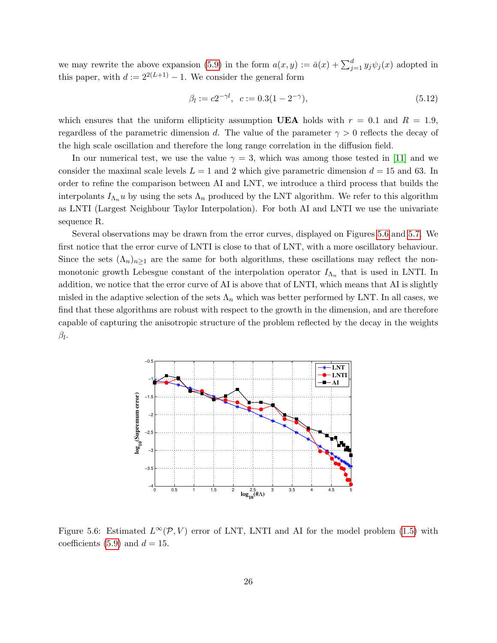we may rewrite the above expansion [\(5.9\)](#page-24-0) in the form  $a(x, y) := \bar{a}(x) + \sum_{j=1}^{d} y_j \psi_j(x)$  adopted in this paper, with  $d := 2^{2(L+1)} - 1$ . We consider the general form

$$
\beta_l := c2^{-\gamma l}, \quad c := 0.3(1 - 2^{-\gamma}), \tag{5.12}
$$

which ensures that the uniform ellipticity assumption UEA holds with  $r = 0.1$  and  $R = 1.9$ , regardless of the parametric dimension d. The value of the parameter  $\gamma > 0$  reflects the decay of the high scale oscillation and therefore the long range correlation in the diffusion field.

In our numerical test, we use the value  $\gamma = 3$ , which was among those tested in [\[11\]](#page-29-0) and we consider the maximal scale levels  $L = 1$  and 2 which give parametric dimension  $d = 15$  and 63. In order to refine the comparison between AI and LNT, we introduce a third process that builds the interpolants  $I_{\Lambda_n}u$  by using the sets  $\Lambda_n$  produced by the LNT algorithm. We refer to this algorithm as LNTI (Largest Neighbour Taylor Interpolation). For both AI and LNTI we use the univariate sequence R.

Several observations may be drawn from the error curves, displayed on Figures [5.6](#page-25-0) and [5.7.](#page-26-0) We first notice that the error curve of LNTI is close to that of LNT, with a more oscillatory behaviour. Since the sets  $(\Lambda_n)_{n>1}$  are the same for both algorithms, these oscillations may reflect the nonmonotonic growth Lebesgue constant of the interpolation operator  $I_{\Lambda_n}$  that is used in LNTI. In addition, we notice that the error curve of AI is above that of LNTI, which means that AI is slightly misled in the adaptive selection of the sets  $\Lambda_n$  which was better performed by LNT. In all cases, we find that these algorithms are robust with respect to the growth in the dimension, and are therefore capable of capturing the anisotropic structure of the problem reflected by the decay in the weights  $\beta_l$ .



<span id="page-25-0"></span>Figure 5.6: Estimated  $L^{\infty}(\mathcal{P}, V)$  error of LNT, LNTI and AI for the model problem [\(1.5\)](#page-1-0) with coefficients [\(5.9\)](#page-24-0) and  $d = 15$ .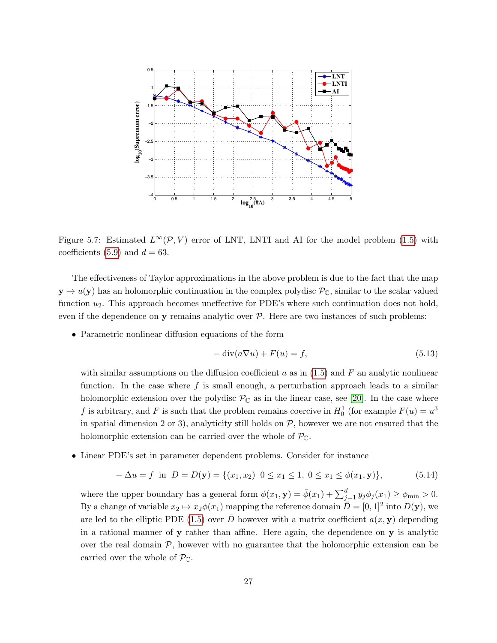

<span id="page-26-0"></span>Figure 5.7: Estimated  $L^{\infty}(\mathcal{P}, V)$  error of LNT, LNTI and AI for the model problem [\(1.5\)](#page-1-0) with coefficients [\(5.9\)](#page-24-0) and  $d = 63$ .

The effectiveness of Taylor approximations in the above problem is due to the fact that the map  $y \mapsto u(y)$  has an holomorphic continuation in the complex polydisc  $\mathcal{P}_{\mathbb{C}}$ , similar to the scalar valued function  $u_2$ . This approach becomes uneffective for PDE's where such continuation does not hold, even if the dependence on  $y$  remains analytic over  $P$ . Here are two instances of such problems:

• Parametric nonlinear diffusion equations of the form

$$
-\operatorname{div}(a\nabla u) + F(u) = f,\tag{5.13}
$$

with similar assumptions on the diffusion coefficient a as in  $(1.5)$  and F an analytic nonlinear function. In the case where  $f$  is small enough, a perturbation approach leads to a similar holomorphic extension over the polydisc  $\mathcal{P}_{\mathbb{C}}$  as in the linear case, see [\[20\]](#page-30-8). In the case where f is arbitrary, and F is such that the problem remains coercive in  $H_0^1$  (for example  $F(u) = u^3$ in spatial dimension 2 or 3), analyticity still holds on  $P$ , however we are not ensured that the holomorphic extension can be carried over the whole of  $\mathcal{P}_{\mathbb{C}}$ .

• Linear PDE's set in parameter dependent problems. Consider for instance

$$
-\Delta u = f \text{ in } D = D(\mathbf{y}) = \{ (x_1, x_2) \ \ 0 \le x_1 \le 1, \ 0 \le x_1 \le \phi(x_1, \mathbf{y}) \},\tag{5.14}
$$

where the upper boundary has a general form  $\phi(x_1, \mathbf{y}) = \bar{\phi}(x_1) + \sum_{j=1}^d y_j \phi_j(x_1) \ge \phi_{\min} > 0$ . By a change of variable  $x_2 \mapsto x_2\phi(x_1)$  mapping the reference domain  $\overline{D} = [0, 1]^2$  into  $D(\mathbf{y})$ , we are led to the elliptic PDE [\(1.5\)](#page-1-0) over  $\bar{D}$  however with a matrix coefficient  $a(x, y)$  depending in a rational manner of y rather than affine. Here again, the dependence on y is analytic over the real domain  $P$ , however with no guarantee that the holomorphic extension can be carried over the whole of  $\mathcal{P}_{\mathbb{C}}$ .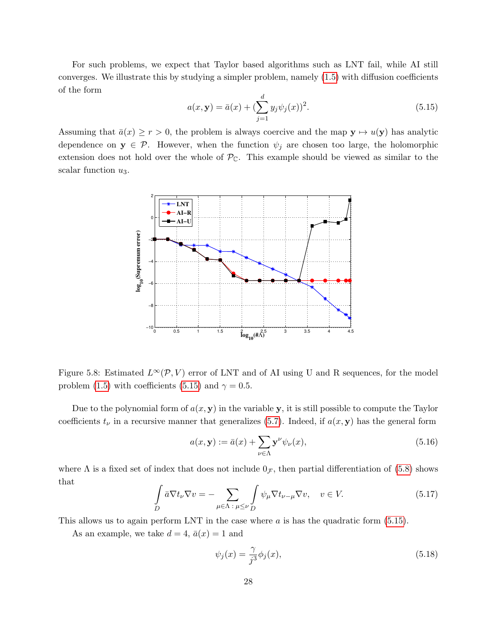For such problems, we expect that Taylor based algorithms such as LNT fail, while AI still converges. We illustrate this by studying a simpler problem, namely [\(1.5\)](#page-1-0) with diffusion coefficients of the form

<span id="page-27-0"></span>
$$
a(x, y) = \bar{a}(x) + (\sum_{j=1}^{d} y_j \psi_j(x))^2.
$$
 (5.15)

Assuming that  $\bar{a}(x) \ge r > 0$ , the problem is always coercive and the map  $y \mapsto u(y)$  has analytic dependence on  $y \in \mathcal{P}$ . However, when the function  $\psi_i$  are chosen too large, the holomorphic extension does not hold over the whole of  $\mathcal{P}_{\mathbb{C}}$ . This example should be viewed as similar to the scalar function  $u_3$ .



<span id="page-27-1"></span>Figure 5.8: Estimated  $L^{\infty}(\mathcal{P}, V)$  error of LNT and of AI using U and R sequences, for the model problem [\(1.5\)](#page-1-0) with coefficients [\(5.15\)](#page-27-0) and  $\gamma = 0.5$ .

Due to the polynomial form of  $a(x, y)$  in the variable y, it is still possible to compute the Taylor coefficients  $t_{\nu}$  in a recursive manner that generalizes [\(5.7\)](#page-24-1). Indeed, if  $a(x, y)$  has the general form

$$
a(x, \mathbf{y}) := \bar{a}(x) + \sum_{\nu \in \Lambda} \mathbf{y}^{\nu} \psi_{\nu}(x), \tag{5.16}
$$

where  $\Lambda$  is a fixed set of index that does not include  $0<sub>\mathcal{F}</sub>$ , then partial differentiation of [\(5.8\)](#page-24-2) shows that

$$
\int_{D} \bar{a} \nabla t_{\nu} \nabla v = - \sum_{\mu \in \Lambda : \mu \leq \nu} \int_{D} \psi_{\mu} \nabla t_{\nu - \mu} \nabla v, \quad v \in V. \tag{5.17}
$$

This allows us to again perform LNT in the case where  $a$  is has the quadratic form  $(5.15)$ .

As an example, we take  $d = 4$ ,  $\bar{a}(x) = 1$  and

$$
\psi_j(x) = \frac{\gamma}{j^3} \phi_j(x),\tag{5.18}
$$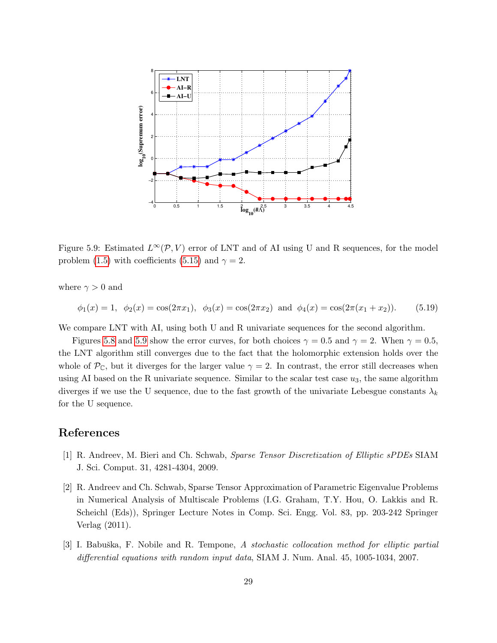

<span id="page-28-3"></span>Figure 5.9: Estimated  $L^{\infty}(\mathcal{P}, V)$  error of LNT and of AI using U and R sequences, for the model problem [\(1.5\)](#page-1-0) with coefficients [\(5.15\)](#page-27-0) and  $\gamma = 2$ .

where  $\gamma > 0$  and

$$
\phi_1(x) = 1
$$
,  $\phi_2(x) = \cos(2\pi x_1)$ ,  $\phi_3(x) = \cos(2\pi x_2)$  and  $\phi_4(x) = \cos(2\pi (x_1 + x_2))$ . (5.19)

We compare LNT with AI, using both U and R univariate sequences for the second algorithm.

Figures [5.8](#page-27-1) and [5.9](#page-28-3) show the error curves, for both choices  $\gamma = 0.5$  and  $\gamma = 2$ . When  $\gamma = 0.5$ , the LNT algorithm still converges due to the fact that the holomorphic extension holds over the whole of  $\mathcal{P}_{\mathbb{C}}$ , but it diverges for the larger value  $\gamma = 2$ . In contrast, the error still decreases when using AI based on the R univariate sequence. Similar to the scalar test case  $u_3$ , the same algorithm diverges if we use the U sequence, due to the fast growth of the univariate Lebesgue constants  $\lambda_k$ for the U sequence.

## References

- <span id="page-28-0"></span>[1] R. Andreev, M. Bieri and Ch. Schwab, Sparse Tensor Discretization of Elliptic sPDEs SIAM J. Sci. Comput. 31, 4281-4304, 2009.
- <span id="page-28-2"></span>[2] R. Andreev and Ch. Schwab, Sparse Tensor Approximation of Parametric Eigenvalue Problems in Numerical Analysis of Multiscale Problems (I.G. Graham, T.Y. Hou, O. Lakkis and R. Scheichl (Eds)), Springer Lecture Notes in Comp. Sci. Engg. Vol. 83, pp. 203-242 Springer Verlag (2011).
- <span id="page-28-1"></span>[3] I. Babuška, F. Nobile and R. Tempone, A stochastic collocation method for elliptic partial differential equations with random input data, SIAM J. Num. Anal. 45, 1005-1034, 2007.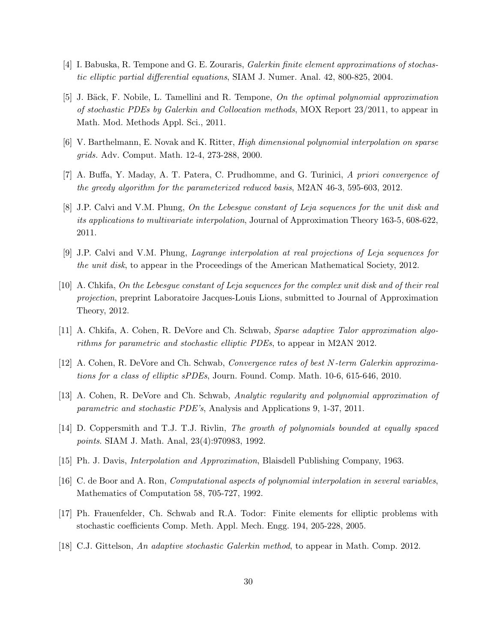- <span id="page-29-2"></span>[4] I. Babuska, R. Tempone and G. E. Zouraris, Galerkin finite element approximations of stochastic elliptic partial differential equations, SIAM J. Numer. Anal. 42, 800-825, 2004.
- <span id="page-29-1"></span>[5] J. Bäck, F. Nobile, L. Tamellini and R. Tempone, On the optimal polynomial approximation of stochastic PDEs by Galerkin and Collocation methods, MOX Report 23/2011, to appear in Math. Mod. Methods Appl. Sci., 2011.
- <span id="page-29-11"></span>[6] V. Barthelmann, E. Novak and K. Ritter, High dimensional polynomial interpolation on sparse grids. Adv. Comput. Math. 12-4, 273-288, 2000.
- <span id="page-29-3"></span>[7] A. Buffa, Y. Maday, A. T. Patera, C. Prudhomme, and G. Turinici, A priori convergence of the greedy algorithm for the parameterized reduced basis, M2AN 46-3, 595-603, 2012.
- <span id="page-29-8"></span>[8] J.P. Calvi and V.M. Phung, On the Lebesgue constant of Leja sequences for the unit disk and its applications to multivariate interpolation, Journal of Approximation Theory 163-5, 608-622, 2011.
- <span id="page-29-9"></span>[9] J.P. Calvi and V.M. Phung, Lagrange interpolation at real projections of Leja sequences for the unit disk, to appear in the Proceedings of the American Mathematical Society, 2012.
- <span id="page-29-10"></span>[10] A. Chkifa, On the Lebesgue constant of Leja sequences for the complex unit disk and of their real projection, preprint Laboratoire Jacques-Louis Lions, submitted to Journal of Approximation Theory, 2012.
- <span id="page-29-0"></span>[11] A. Chkifa, A. Cohen, R. DeVore and Ch. Schwab, Sparse adaptive Talor approximation algorithms for parametric and stochastic elliptic PDEs, to appear in M2AN 2012.
- <span id="page-29-4"></span>[12] A. Cohen, R. DeVore and Ch. Schwab, Convergence rates of best N-term Galerkin approximations for a class of elliptic sPDEs, Journ. Found. Comp. Math. 10-6, 615-646, 2010.
- <span id="page-29-5"></span>[13] A. Cohen, R. DeVore and Ch. Schwab, Analytic regularity and polynomial approximation of parametric and stochastic PDE's, Analysis and Applications 9, 1-37, 2011.
- <span id="page-29-13"></span>[14] D. Coppersmith and T.J. T.J. Rivlin, The growth of polynomials bounded at equally spaced points. SIAM J. Math. Anal, 23(4):970983, 1992.
- [15] Ph. J. Davis, Interpolation and Approximation, Blaisdell Publishing Company, 1963.
- <span id="page-29-12"></span>[16] C. de Boor and A. Ron, Computational aspects of polynomial interpolation in several variables, Mathematics of Computation 58, 705-727, 1992.
- <span id="page-29-6"></span>[17] Ph. Frauenfelder, Ch. Schwab and R.A. Todor: Finite elements for elliptic problems with stochastic coefficients Comp. Meth. Appl. Mech. Engg. 194, 205-228, 2005.
- <span id="page-29-7"></span>[18] C.J. Gittelson, An adaptive stochastic Galerkin method, to appear in Math. Comp. 2012.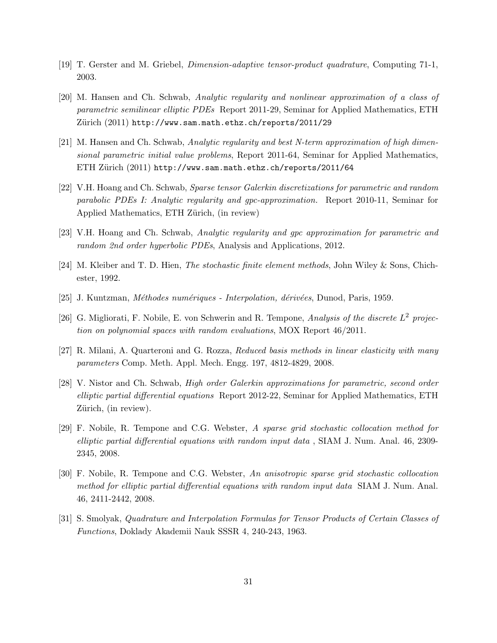- <span id="page-30-11"></span>[19] T. Gerster and M. Griebel, Dimension-adaptive tensor-product quadrature, Computing 71-1, 2003.
- <span id="page-30-8"></span>[20] M. Hansen and Ch. Schwab, Analytic regularity and nonlinear approximation of a class of parametric semilinear elliptic PDEs Report 2011-29, Seminar for Applied Mathematics, ETH Zürich (2011) http://www.sam.math.ethz.ch/reports/2011/29
- <span id="page-30-0"></span>[21] M. Hansen and Ch. Schwab, Analytic regularity and best N-term approximation of high dimensional parametric initial value problems, Report 2011-64, Seminar for Applied Mathematics, ETH Zürich (2011) http://www.sam.math.ethz.ch/reports/2011/64
- <span id="page-30-1"></span>[22] V.H. Hoang and Ch. Schwab, Sparse tensor Galerkin discretizations for parametric and random parabolic PDEs I: Analytic regularity and gpc-approximation. Report 2010-11, Seminar for Applied Mathematics, ETH Zürich, (in review)
- <span id="page-30-2"></span>[23] V.H. Hoang and Ch. Schwab, Analytic regularity and gpc approximation for parametric and random 2nd order hyperbolic PDEs, Analysis and Applications, 2012.
- <span id="page-30-3"></span>[24] M. Kleiber and T. D. Hien, The stochastic finite element methods, John Wiley & Sons, Chichester, 1992.
- <span id="page-30-12"></span>[25] J. Kuntzman, *Méthodes numériques - Interpolation, dérivées*, Dunod, Paris, 1959.
- <span id="page-30-5"></span>[26] G. Migliorati, F. Nobile, E. von Schwerin and R. Tempone, Analysis of the discrete  $L^2$  projection on polynomial spaces with random evaluations, MOX Report 46/2011.
- <span id="page-30-4"></span>[27] R. Milani, A. Quarteroni and G. Rozza, Reduced basis methods in linear elasticity with many parameters Comp. Meth. Appl. Mech. Engg. 197, 4812-4829, 2008.
- <span id="page-30-9"></span>[28] V. Nistor and Ch. Schwab, *High order Galerkin approximations for parametric, second order* elliptic partial differential equations Report 2012-22, Seminar for Applied Mathematics, ETH Zürich, (in review).
- <span id="page-30-6"></span>[29] F. Nobile, R. Tempone and C.G. Webster, A sparse grid stochastic collocation method for elliptic partial differential equations with random input data , SIAM J. Num. Anal. 46, 2309- 2345, 2008.
- <span id="page-30-7"></span>[30] F. Nobile, R. Tempone and C.G. Webster, An anisotropic sparse grid stochastic collocation method for elliptic partial differential equations with random input data SIAM J. Num. Anal. 46, 2411-2442, 2008.
- <span id="page-30-10"></span>[31] S. Smolyak, Quadrature and Interpolation Formulas for Tensor Products of Certain Classes of Functions, Doklady Akademii Nauk SSSR 4, 240-243, 1963.